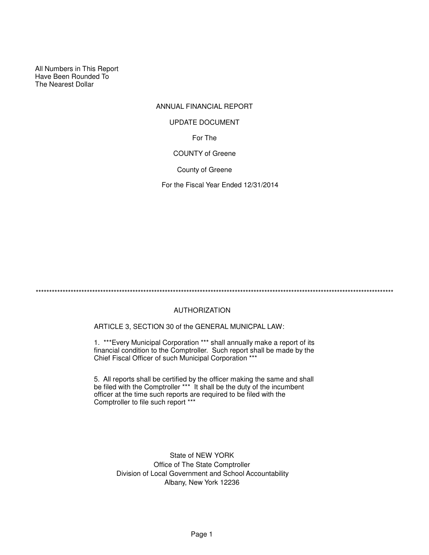All Numbers in This Report Have Been Rounded To The Nearest Dollar

# ANNUAL FINANCIAL REPORT For The COUNTY of Greene UPDATE DOCUMENT

County of Greene

For the Fiscal Year Ended 12/31/2014

\*\*\*\*\*\*\*\*\*\*\*\*\*\*\*\*\*\*\*\*\*\*\*\*\*\*\*\*\*\*\*\*\*\*\*\*\*\*\*\*\*\*\*\*\*\*\*\*\*\*\*\*\*\*\*\*\*\*\*\*\*\*\*\*\*\*\*\*\*\*\*\*\*\*\*\*\*\*\*\*\*\*\*\*\*\*\*\*\*\*\*\*\*\*\*\*\*\*\*\*\*\*\*\*\*\*\*\*\*\*\*\*\*\*\*\*\*\*\*\*\*\*\*\*\*\*\*\*\*\*\*\*\*

# AUTHORIZATION

ARTICLE 3, SECTION 30 of the GENERAL MUNICPAL LAW:

1. \*\*\*Every Municipal Corporation \*\*\* shall annually make a report of its financial condition to the Comptroller. Such report shall be made by the Chief Fiscal Officer of such Municipal Corporation \*\*\*

5. All reports shall be certified by the officer making the same and shall be filed with the Comptroller \*\*\* It shall be the duty of the incumbent officer at the time such reports are required to be filed with the Comptroller to file such report \*\*\*

> State of NEW YORK Office of The State Comptroller Division of Local Government and School Accountability Albany, New York 12236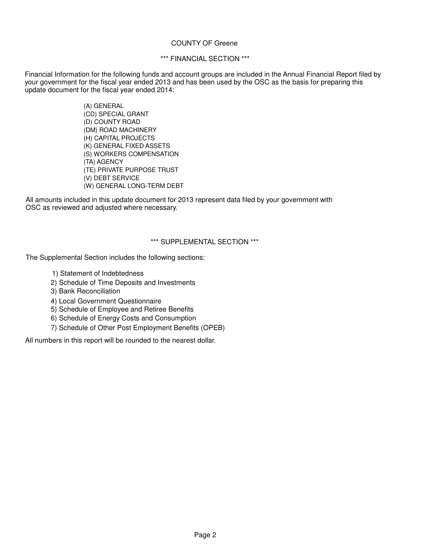# COUNTY OF Greene

# \*\*\* FINANCIAL SECTION \*\*\*

Financial Information for the following funds and account groups are included in the Annual Financial Report filed by your government for the fiscal year ended 2013 and has been used by the OSC as the basis for preparing this update document for the fiscal year ended 2014:

> (A) GENERAL (CD) SPECIAL GRANT (D) COUNTY ROAD (DM) ROAD MACHINERY (H) CAPITAL PROJECTS (K) GENERAL FIXED ASSETS (S) WORKERS COMPENSATION (TA) AGENCY (TE) PRIVATE PURPOSE TRUST (V) DEBT SERVICE (W) GENERAL LONG-TERM DEBT

All amounts included in this update document for 2013 represent data filed by your government with OSC as reviewed and adjusted where necessary.

# \*\*\* SUPPLEMENTAL SECTION \*\*\*

The Supplemental Section includes the following sections:

- 1) Statement of Indebtedness
- 2) Schedule of Time Deposits and Investments
- 3) Bank Reconciliation
- 4) Local Government Questionnaire
- 5) Schedule of Employee and Retiree Benefits
- 6) Schedule of Energy Costs and Consumption
- 7) Schedule of Other Post Employment Benefits (OPEB)

All numbers in this report will be rounded to the nearest dollar.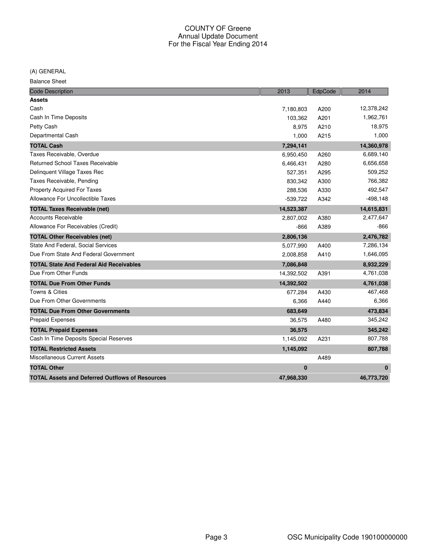(A) GENERAL

Balance Sheet

| <b>Code Description</b>                                | 2013       | EdpCode | 2014       |
|--------------------------------------------------------|------------|---------|------------|
| <b>Assets</b>                                          |            |         |            |
| Cash                                                   | 7,180,803  | A200    | 12,378,242 |
| Cash In Time Deposits                                  | 103,362    | A201    | 1,962,761  |
| Petty Cash                                             | 8,975      | A210    | 18,975     |
| Departmental Cash                                      | 1,000      | A215    | 1,000      |
| <b>TOTAL Cash</b>                                      | 7,294,141  |         | 14,360,978 |
| Taxes Receivable, Overdue                              | 6,950,450  | A260    | 6,689,140  |
| <b>Returned School Taxes Receivable</b>                | 6,466,431  | A280    | 6,656,658  |
| Delinquent Village Taxes Rec                           | 527,351    | A295    | 509,252    |
| Taxes Receivable, Pending                              | 830,342    | A300    | 766,382    |
| <b>Property Acquired For Taxes</b>                     | 288,536    | A330    | 492,547    |
| Allowance For Uncollectible Taxes                      | $-539,722$ | A342    | $-498,148$ |
| <b>TOTAL Taxes Receivable (net)</b>                    | 14,523,387 |         | 14,615,831 |
| <b>Accounts Receivable</b>                             | 2,807,002  | A380    | 2,477,647  |
| Allowance For Receivables (Credit)                     | $-866$     | A389    | -866       |
| <b>TOTAL Other Receivables (net)</b>                   | 2,806,136  |         | 2,476,782  |
| State And Federal, Social Services                     | 5,077,990  | A400    | 7,286,134  |
| Due From State And Federal Government                  | 2,008,858  | A410    | 1,646,095  |
| <b>TOTAL State And Federal Aid Receivables</b>         | 7,086,848  |         | 8,932,229  |
| Due From Other Funds                                   | 14,392,502 | A391    | 4,761,038  |
| <b>TOTAL Due From Other Funds</b>                      | 14,392,502 |         | 4,761,038  |
| Towns & Cities                                         | 677,284    | A430    | 467,468    |
| Due From Other Governments                             | 6,366      | A440    | 6,366      |
| <b>TOTAL Due From Other Governments</b>                | 683,649    |         | 473,834    |
| <b>Prepaid Expenses</b>                                | 36,575     | A480    | 345,242    |
| <b>TOTAL Prepaid Expenses</b>                          | 36,575     |         | 345,242    |
| Cash In Time Deposits Special Reserves                 | 1,145,092  | A231    | 807,788    |
| <b>TOTAL Restricted Assets</b>                         | 1,145,092  |         | 807,788    |
| Miscellaneous Current Assets                           |            | A489    |            |
| <b>TOTAL Other</b>                                     | $\bf{0}$   |         | $\bf{0}$   |
| <b>TOTAL Assets and Deferred Outflows of Resources</b> | 47,968,330 |         | 46,773,720 |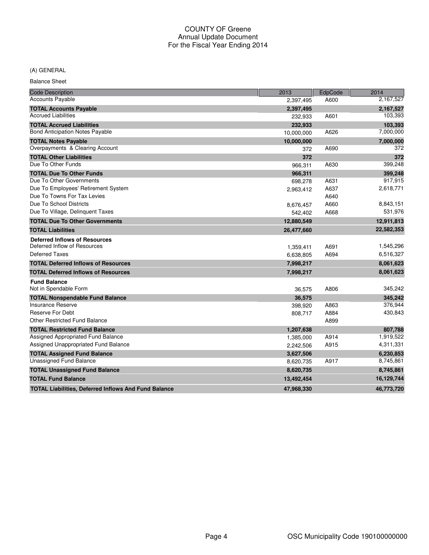# (A) GENERAL

Balance Sheet

| <b>Code Description</b>                                     | 2013       | EdpCode | 2014       |
|-------------------------------------------------------------|------------|---------|------------|
| <b>Accounts Payable</b>                                     | 2,397,495  | A600    | 2,167,527  |
| <b>TOTAL Accounts Payable</b>                               | 2,397,495  |         | 2,167,527  |
| <b>Accrued Liabilities</b>                                  | 232,933    | A601    | 103,393    |
| <b>TOTAL Accrued Liabilities</b>                            | 232,933    |         | 103,393    |
| <b>Bond Anticipation Notes Payable</b>                      | 10,000,000 | A626    | 7,000,000  |
| <b>TOTAL Notes Payable</b>                                  | 10,000,000 |         | 7,000,000  |
| Overpayments & Clearing Account                             | 372        | A690    | 372        |
| <b>TOTAL Other Liabilities</b>                              | 372        |         | 372        |
| Due To Other Funds                                          | 966,311    | A630    | 399,248    |
| <b>TOTAL Due To Other Funds</b>                             | 966,311    |         | 399,248    |
| Due To Other Governments                                    | 698,278    | A631    | 917,915    |
| Due To Employees' Retirement System                         | 2,963,412  | A637    | 2,618,771  |
| Due To Towns For Tax Levies                                 |            | A640    |            |
| Due To School Districts                                     | 8,676,457  | A660    | 8,843,151  |
| Due To Village, Delinguent Taxes                            | 542,402    | A668    | 531,976    |
| <b>TOTAL Due To Other Governments</b>                       | 12,880,549 |         | 12,911,813 |
| <b>TOTAL Liabilities</b>                                    | 26,477,660 |         | 22,582,353 |
| <b>Deferred Inflows of Resources</b>                        |            |         |            |
| Deferred Inflow of Resources                                | 1,359,411  | A691    | 1,545,296  |
| Deferred Taxes                                              | 6,638,805  | A694    | 6,516,327  |
| <b>TOTAL Deferred Inflows of Resources</b>                  | 7,998,217  |         | 8,061,623  |
| <b>TOTAL Deferred Inflows of Resources</b>                  | 7,998,217  |         | 8,061,623  |
| <b>Fund Balance</b>                                         |            |         |            |
| Not in Spendable Form                                       | 36,575     | A806    | 345,242    |
| <b>TOTAL Nonspendable Fund Balance</b>                      | 36,575     |         | 345,242    |
| Insurance Reserve                                           | 398,920    | A863    | 376,944    |
| Reserve For Debt                                            | 808,717    | A884    | 430,843    |
| <b>Other Restricted Fund Balance</b>                        |            | A899    |            |
| <b>TOTAL Restricted Fund Balance</b>                        | 1,207,638  |         | 807.788    |
| Assigned Appropriated Fund Balance                          | 1,385,000  | A914    | 1,919,522  |
| Assigned Unappropriated Fund Balance                        | 2,242,506  | A915    | 4,311,331  |
| <b>TOTAL Assigned Fund Balance</b>                          | 3,627,506  |         | 6,230,853  |
| <b>Unassigned Fund Balance</b>                              | 8,620,735  | A917    | 8,745,861  |
| <b>TOTAL Unassigned Fund Balance</b>                        | 8,620,735  |         | 8,745,861  |
| <b>TOTAL Fund Balance</b>                                   | 13,492,454 |         | 16,129,744 |
| <b>TOTAL Liabilities, Deferred Inflows And Fund Balance</b> | 47,968,330 |         | 46,773,720 |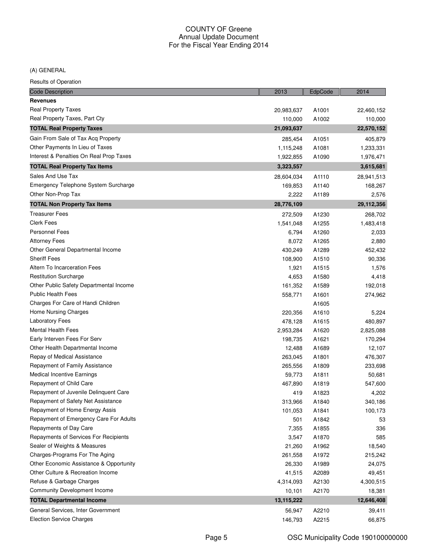(A) GENERAL

| Results of Operation                    |            |         |              |
|-----------------------------------------|------------|---------|--------------|
| <b>Code Description</b>                 | 2013       | EdpCode | 2014         |
| <b>Revenues</b>                         |            |         |              |
| Real Property Taxes                     | 20,983,637 | A1001   | 22,460,152   |
| Real Property Taxes, Part Cty           | 110,000    | A1002   | 110,000      |
| <b>TOTAL Real Property Taxes</b>        | 21,093,637 |         | 22,570,152   |
| Gain From Sale of Tax Acq Property      | 285,454    | A1051   | 405,879      |
| Other Payments In Lieu of Taxes         | 1,115,248  | A1081   | 1,233,331    |
| Interest & Penalties On Real Prop Taxes | 1,922,855  | A1090   | 1,976,471    |
| <b>TOTAL Real Property Tax Items</b>    | 3,323,557  |         | 3,615,681    |
| Sales And Use Tax                       | 28,604,034 | A1110   | 28,941,513   |
| Emergency Telephone System Surcharge    | 169,853    | A1140   | 168,267      |
| Other Non-Prop Tax                      | 2,222      | A1189   | 2,576        |
| <b>TOTAL Non Property Tax Items</b>     | 28,776,109 |         | 29, 112, 356 |
| <b>Treasurer Fees</b>                   | 272,509    | A1230   | 268,702      |
| <b>Clerk Fees</b>                       | 1,541,048  | A1255   | 1,483,418    |
| <b>Personnel Fees</b>                   | 6,794      | A1260   | 2,033        |
| <b>Attorney Fees</b>                    | 8,072      | A1265   | 2,880        |
| Other General Departmental Income       | 430,249    | A1289   | 452,432      |
| <b>Sheriff Fees</b>                     | 108,900    | A1510   | 90,336       |
| Altern To Incarceration Fees            | 1,921      | A1515   | 1,576        |
| <b>Restitution Surcharge</b>            | 4,653      | A1580   | 4,418        |
| Other Public Safety Departmental Income | 161,352    | A1589   | 192,018      |
| <b>Public Health Fees</b>               | 558,771    | A1601   | 274,962      |
| Charges For Care of Handi Children      |            | A1605   |              |
| Home Nursing Charges                    | 220,356    | A1610   | 5,224        |
| <b>Laboratory Fees</b>                  | 478,128    | A1615   | 480,897      |
| <b>Mental Health Fees</b>               | 2,953,284  | A1620   | 2,825,088    |
| Early Interven Fees For Serv            | 198,735    | A1621   | 170,294      |
| Other Health Departmental Income        | 12,488     | A1689   | 12,107       |
| Repay of Medical Assistance             | 263,045    | A1801   | 476,307      |
| Repayment of Family Assistance          | 265,556    | A1809   | 233,698      |
| <b>Medical Incentive Earnings</b>       | 59,773     | A1811   | 50,681       |
| Repayment of Child Care                 | 467,890    | A1819   | 547,600      |
| Repayment of Juvenile Delinquent Care   | 419        | A1823   | 4,202        |
| Repayment of Safety Net Assistance      | 313,966    | A1840   | 340,186      |
| Repayment of Home Energy Assis          | 101,053    | A1841   | 100,173      |
| Repayment of Emergency Care For Adults  | 501        | A1842   | 53           |
| Repayments of Day Care                  | 7,355      | A1855   | 336          |
| Repayments of Services For Recipients   | 3,547      | A1870   | 585          |
| Sealer of Weights & Measures            | 21,260     | A1962   | 18,540       |
| Charges-Programs For The Aging          | 261,558    | A1972   | 215,242      |
| Other Economic Assistance & Opportunity | 26,330     | A1989   | 24,075       |
| Other Culture & Recreation Income       | 41,515     | A2089   | 49,451       |
| Refuse & Garbage Charges                | 4,314,093  | A2130   | 4,300,515    |
| <b>Community Development Income</b>     | 10,101     | A2170   | 18,381       |
| <b>TOTAL Departmental Income</b>        | 13,115,222 |         | 12,646,408   |
| General Services, Inter Government      | 56,947     | A2210   | 39,411       |
| <b>Election Service Charges</b>         | 146,793    | A2215   | 66,875       |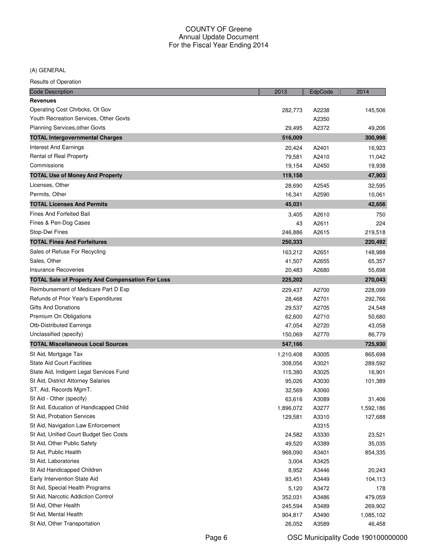# (A) GENERAL

| <b>Results of Operation</b> |
|-----------------------------|
|-----------------------------|

| <b>Code Description</b>                                 | 2013      | EdpCode | 2014      |
|---------------------------------------------------------|-----------|---------|-----------|
| <b>Revenues</b>                                         |           |         |           |
| Operating Cost Chrbcks, Ot Gov                          | 282,773   | A2238   | 145,506   |
| Youth Recreation Services, Other Govts                  |           | A2350   |           |
| Planning Services, other Govts                          | 29,495    | A2372   | 49,206    |
| <b>TOTAL Intergovernmental Charges</b>                  | 516,009   |         | 300,998   |
| <b>Interest And Earnings</b>                            | 20,424    | A2401   | 16,923    |
| Rental of Real Property                                 | 79,581    | A2410   | 11,042    |
| Commissions                                             | 19,154    | A2450   | 19,938    |
| <b>TOTAL Use of Money And Property</b>                  | 119,158   |         | 47,903    |
| Licenses, Other                                         | 28,690    | A2545   | 32,595    |
| Permits, Other                                          | 16,341    | A2590   | 10,061    |
| <b>TOTAL Licenses And Permits</b>                       | 45,031    |         | 42,656    |
| Fines And Forfeited Bail                                | 3,405     | A2610   | 750       |
| Fines & Pen-Dog Cases                                   | 43        | A2611   | 224       |
| Stop-Dwi Fines                                          | 246,886   | A2615   | 219,518   |
| <b>TOTAL Fines And Forfeitures</b>                      | 250,333   |         | 220,492   |
| Sales of Refuse For Recycling                           | 163,212   | A2651   | 148,988   |
| Sales, Other                                            | 41,507    | A2655   | 65,357    |
| <b>Insurance Recoveries</b>                             | 20,483    | A2680   | 55,698    |
| <b>TOTAL Sale of Property And Compensation For Loss</b> | 225,202   |         | 270,043   |
| Reimbursement of Medicare Part D Exp                    | 229,437   | A2700   | 228,099   |
| Refunds of Prior Year's Expenditures                    | 28,468    | A2701   | 292,766   |
| <b>Gifts And Donations</b>                              | 29,537    | A2705   | 24,548    |
| Premium On Obligations                                  | 62,600    | A2710   | 50,680    |
| <b>Otb-Distributed Earnings</b>                         | 47,054    | A2720   | 43,058    |
| Unclassified (specify)                                  | 150,069   | A2770   | 86,779    |
| <b>TOTAL Miscellaneous Local Sources</b>                | 547,166   |         | 725,930   |
| St Aid, Mortgage Tax                                    | 1,210,408 | A3005   | 865,698   |
| <b>State Aid Court Facilities</b>                       | 308,056   | A3021   | 289,592   |
| State Aid, Indigent Legal Services Fund                 | 115,380   | A3025   | 16,901    |
| St Aid, District Attorney Salaries                      | 95,026    | A3030   | 101,389   |
| ST. Aid, Records MgmT.                                  | 32,569    | A3060   |           |
| St Aid - Other (specify)                                | 63,616    | A3089   | 31,406    |
| St Aid, Education of Handicapped Child                  | 1,896,072 | A3277   | 1,592,186 |
| St Aid, Probation Services                              | 129,581   | A3310   | 127,688   |
| St Aid, Navigation Law Enforcement                      |           | A3315   |           |
| St Aid, Unified Court Budget Sec Costs                  | 24,582    | A3330   | 23,521    |
| St Aid, Other Public Safety                             | 49,520    | A3389   | 35,035    |
| St Aid, Public Health                                   | 968,090   | A3401   | 854,335   |
| St Aid, Laboratories                                    | 3,004     | A3425   |           |
| St Aid Handicapped Children                             | 8,952     | A3446   | 20,243    |
| Early Intervention State Aid                            | 93,451    | A3449   | 104,113   |
| St Aid, Special Health Programs                         | 5,120     | A3472   | 178       |
| St Aid, Narcotic Addiction Control                      | 352,031   | A3486   | 479,059   |
| St Aid, Other Health                                    | 245,594   | A3489   | 269,902   |
| St Aid, Mental Health                                   | 904,817   | A3490   | 1,085,102 |
| St Aid, Other Transportation                            | 26,052    | A3589   | 46,458    |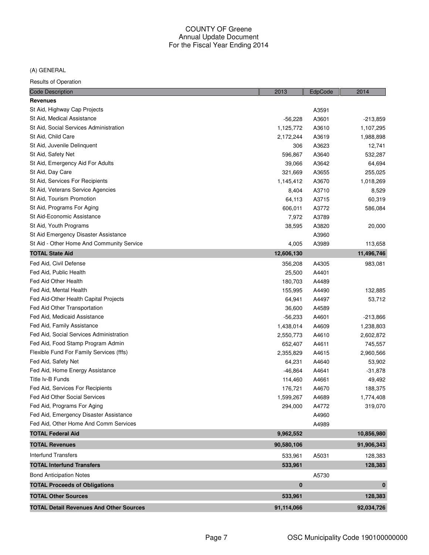(A) GENERAL

| <b>Code Description</b>                        | 2013               | EdpCode | 2014               |
|------------------------------------------------|--------------------|---------|--------------------|
| <b>Revenues</b>                                |                    |         |                    |
| St Aid, Highway Cap Projects                   |                    | A3591   |                    |
| St Aid, Medical Assistance                     | $-56,228$          | A3601   | $-213,859$         |
| St Aid, Social Services Administration         | 1,125,772          | A3610   | 1,107,295          |
| St Aid, Child Care                             | 2,172,244          | A3619   | 1,988,898          |
| St Aid, Juvenile Delinquent                    | 306                | A3623   | 12,741             |
| St Aid, Safety Net                             | 596,867            | A3640   | 532,287            |
| St Aid, Emergency Aid For Adults               | 39,066             | A3642   | 64,694             |
| St Aid, Day Care                               | 321,669            | A3655   | 255,025            |
| St Aid, Services For Recipients                | 1,145,412          | A3670   | 1,018,269          |
| St Aid, Veterans Service Agencies              | 8,404              | A3710   | 8,529              |
| St Aid, Tourism Promotion                      | 64,113             | A3715   | 60,319             |
| St Aid, Programs For Aging                     | 606,011            | A3772   | 586,084            |
| St Aid-Economic Assistance                     | 7,972              | A3789   |                    |
| St Aid, Youth Programs                         | 38,595             | A3820   | 20,000             |
| St Aid Emergency Disaster Assistance           |                    | A3960   |                    |
| St Aid - Other Home And Community Service      | 4,005              | A3989   | 113,658            |
| <b>TOTAL State Aid</b>                         | 12,606,130         |         | 11,496,746         |
| Fed Aid, Civil Defense                         | 356,208            | A4305   | 983,081            |
| Fed Aid, Public Health                         | 25,500             | A4401   |                    |
| Fed Aid Other Health                           | 180,703            | A4489   |                    |
| Fed Aid, Mental Health                         | 155,995            | A4490   | 132,885            |
| Fed Aid-Other Health Capital Projects          | 64,941             | A4497   | 53,712             |
| Fed Aid Other Transportation                   | 36,600             | A4589   |                    |
| Fed Aid, Medicaid Assistance                   | $-56,233$          | A4601   | $-213,866$         |
| Fed Aid, Family Assistance                     | 1,438,014          | A4609   | 1,238,803          |
| Fed Aid, Social Services Administration        | 2,550,773          | A4610   | 2,602,872          |
| Fed Aid, Food Stamp Program Admin              | 652,407            | A4611   | 745,557            |
| Flexible Fund For Family Services (fffs)       | 2,355,829          | A4615   | 2,960,566          |
| Fed Aid, Safety Net                            | 64,231             | A4640   | 53,902             |
| Fed Aid, Home Energy Assistance                | $-46,864$          | A4641   | $-31,878$          |
| Title Iv-B Funds                               | 114,460            | A4661   | 49,492             |
| Fed Aid, Services For Recipients               | 176,721            | A4670   | 188,375            |
| <b>Fed Aid Other Social Services</b>           | 1,599,267          | A4689   | 1,774,408          |
| Fed Aid, Programs For Aging                    | 294,000            | A4772   | 319,070            |
| Fed Aid, Emergency Disaster Assistance         |                    | A4960   |                    |
| Fed Aid, Other Home And Comm Services          |                    | A4989   |                    |
| <b>TOTAL Federal Aid</b>                       | 9,962,552          |         | 10,856,980         |
| <b>TOTAL Revenues</b>                          | 90,580,106         |         | 91,906,343         |
| <b>Interfund Transfers</b>                     |                    |         |                    |
| <b>TOTAL Interfund Transfers</b>               | 533,961<br>533,961 | A5031   | 128,383<br>128,383 |
|                                                |                    |         |                    |
| <b>Bond Anticipation Notes</b>                 | $\bf{0}$           | A5730   | 0                  |
| <b>TOTAL Proceeds of Obligations</b>           |                    |         |                    |
| <b>TOTAL Other Sources</b>                     | 533,961            |         | 128,383            |
| <b>TOTAL Detail Revenues And Other Sources</b> | 91,114,066         |         | 92,034,726         |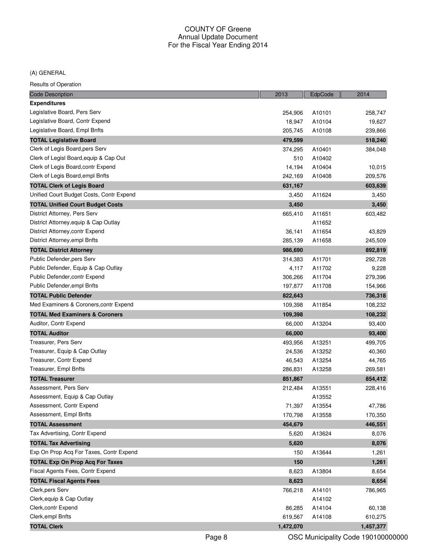#### (A) GENERAL

| <b>Code Description</b>                   | 2013      | EdpCode | 2014      |
|-------------------------------------------|-----------|---------|-----------|
| <b>Expenditures</b>                       |           |         |           |
| Legislative Board, Pers Serv              | 254,906   | A10101  | 258,747   |
| Legislative Board, Contr Expend           | 18,947    | A10104  | 19,627    |
| Legislative Board, Empl Bnfts             | 205,745   | A10108  | 239,866   |
| <b>TOTAL Legislative Board</b>            | 479,599   |         | 518,240   |
| Clerk of Legis Board, pers Serv           | 374,295   | A10401  | 384,048   |
| Clerk of Legisl Board, equip & Cap Out    | 510       | A10402  |           |
| Clerk of Legis Board, contr Expend        | 14,194    | A10404  | 10,015    |
| Clerk of Legis Board, empl Bnfts          | 242.169   | A10408  | 209,576   |
| <b>TOTAL Clerk of Legis Board</b>         | 631,167   |         | 603,639   |
| Unified Court Budget Costs, Contr Expend  | 3,450     | A11624  | 3,450     |
| <b>TOTAL Unified Court Budget Costs</b>   | 3,450     |         | 3,450     |
| District Attorney, Pers Serv              | 665,410   | A11651  | 603,482   |
| District Attorney, equip & Cap Outlay     |           | A11652  |           |
| District Attorney, contr Expend           | 36,141    | A11654  | 43,829    |
| District Attorney, empl Bnfts             | 285,139   | A11658  | 245,509   |
| <b>TOTAL District Attorney</b>            | 986,690   |         | 892,819   |
| Public Defender, pers Serv                | 314,383   | A11701  | 292,728   |
| Public Defender, Equip & Cap Outlay       | 4,117     | A11702  | 9,228     |
| Public Defender, contr Expend             | 306,266   | A11704  | 279,396   |
| Public Defender, empl Bnfts               | 197,877   | A11708  | 154,966   |
| <b>TOTAL Public Defender</b>              | 822,643   |         | 736,318   |
| Med Examiners & Coroners, contr Expend    | 109,398   | A11854  | 108,232   |
| <b>TOTAL Med Examiners &amp; Coroners</b> | 109,398   |         | 108,232   |
| Auditor, Contr Expend                     | 66,000    | A13204  | 93,400    |
| <b>TOTAL Auditor</b>                      | 66,000    |         | 93,400    |
| Treasurer, Pers Serv                      | 493,956   | A13251  | 499,705   |
| Treasurer, Equip & Cap Outlay             | 24,536    | A13252  | 40,360    |
| Treasurer, Contr Expend                   | 46,543    | A13254  | 44,765    |
| Treasurer, Empl Bnfts                     | 286,831   | A13258  | 269,581   |
| <b>TOTAL Treasurer</b>                    | 851,867   |         | 854,412   |
| Assessment, Pers Serv                     | 212,484   | A13551  | 228,416   |
| Assessment, Equip & Cap Outlay            |           | A13552  |           |
| Assessment, Contr Expend                  | 71,397    | A13554  | 47,786    |
| Assessment, Empl Bnfts                    | 170,798   | A13558  | 170,350   |
| <b>TOTAL Assessment</b>                   | 454,679   |         | 446,551   |
| Tax Advertising, Contr Expend             | 5,620     | A13624  | 8,076     |
| <b>TOTAL Tax Advertising</b>              | 5,620     |         | 8,076     |
| Exp On Prop Acq For Taxes, Contr Expend   | 150       | A13644  | 1,261     |
| <b>TOTAL Exp On Prop Acq For Taxes</b>    | 150       |         | 1,261     |
| Fiscal Agents Fees, Contr Expend          | 8,623     | A13804  | 8,654     |
| <b>TOTAL Fiscal Agents Fees</b>           | 8,623     |         | 8,654     |
| Clerk, pers Serv                          | 766,218   | A14101  | 786,965   |
| Clerk, equip & Cap Outlay                 |           | A14102  |           |
| Clerk, contr Expend                       | 86,285    | A14104  | 60,138    |
| Clerk, empl Bnfts                         | 619,567   | A14108  | 610,275   |
| <b>TOTAL Clerk</b>                        | 1,472,070 |         | 1,457,377 |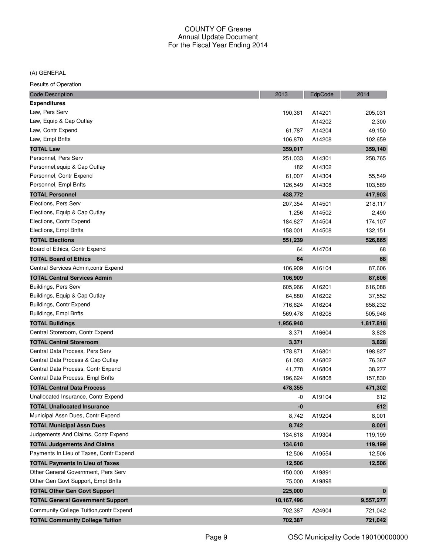(A) GENERAL

| <b>Expenditures</b><br>Law, Pers Serv<br>190,361<br>205,031<br>A14201<br>Law, Equip & Cap Outlay<br>A14202<br>2,300<br>Law, Contr Expend<br>61,787<br>49,150<br>A14204<br>Law, Empl Bnfts<br>106,870<br>A14208<br>102,659<br><b>TOTAL Law</b><br>359,140<br>359,017<br>Personnel, Pers Serv<br>A14301<br>251,033<br>258,765<br>Personnel, equip & Cap Outlay<br>182<br>A14302<br>Personnel, Contr Expend<br>61,007<br>A14304<br>55,549<br>Personnel, Empl Bnfts<br>126,549<br>A14308<br>103,589<br><b>TOTAL Personnel</b><br>438,772<br>417,903<br>Elections, Pers Serv<br>207,354<br>A14501<br>218,117<br>Elections, Equip & Cap Outlay<br>A14502<br>2,490<br>1,256<br>Elections, Contr Expend<br>184,627<br>A14504<br>174,107<br>Elections, Empl Bnfts<br>158,001<br>132,151<br>A14508<br><b>TOTAL Elections</b><br>526,865<br>551,239<br>Board of Ethics, Contr Expend<br>A14704<br>64<br>68<br>68<br><b>TOTAL Board of Ethics</b><br>64<br>Central Services Admin, contr Expend<br>106,909<br>A16104<br>87,606<br><b>TOTAL Central Services Admin</b><br>106,909<br>87,606<br>Buildings, Pers Serv<br>605,966<br>A16201<br>616,088<br>Buildings, Equip & Cap Outlay<br>A16202<br>37,552<br>64,880<br>Buildings, Contr Expend<br>A16204<br>716,624<br>658,232<br>Buildings, Empl Bnfts<br>569,478<br>A16208<br>505,946<br><b>TOTAL Buildings</b><br>1,956,948<br>1,817,818<br>Central Storeroom, Contr Expend<br>3,371<br>A16604<br>3,828<br>3,828<br><b>TOTAL Central Storeroom</b><br>3,371<br>Central Data Process, Pers Serv<br>A16801<br>198,827<br>178,871<br>Central Data Process & Cap Outlay<br>61,083<br>A16802<br>76,367<br>Central Data Process, Contr Expend<br>A16804<br>41,778<br>38,277<br>Central Data Process, Empl Bnfts<br>196,624<br>A16808<br>157,830<br>471,302<br><b>TOTAL Central Data Process</b><br>478,355<br>Unallocated Insurance, Contr Expend<br>A19104<br>612<br>-0<br><b>TOTAL Unallocated Insurance</b><br>-0<br>612<br>Municipal Assn Dues, Contr Expend<br>8,742<br>A19204<br>8,001<br><b>TOTAL Municipal Assn Dues</b><br>8,742<br>8,001<br>Judgements And Claims, Contr Expend<br>134,618<br>A19304<br>119,199<br><b>TOTAL Judgements And Claims</b><br>119,199<br>134,618<br>Payments In Lieu of Taxes, Contr Expend<br>A19554<br>12,506<br>12,506<br><b>TOTAL Payments In Lieu of Taxes</b><br>12,506<br>12,506<br>Other General Government, Pers Serv<br>150,000<br>A19891<br>Other Gen Govt Support, Empl Bnfts<br>75,000<br>A19898<br><b>TOTAL Other Gen Govt Support</b><br>225,000<br>$\bf{0}$<br><b>TOTAL General Government Support</b><br>10,167,496<br>9,557,277<br>Community College Tuition, contr Expend<br>702,387<br>A24904<br>721,042 | <b>Code Description</b>                | 2013    | EdpCode | 2014    |
|--------------------------------------------------------------------------------------------------------------------------------------------------------------------------------------------------------------------------------------------------------------------------------------------------------------------------------------------------------------------------------------------------------------------------------------------------------------------------------------------------------------------------------------------------------------------------------------------------------------------------------------------------------------------------------------------------------------------------------------------------------------------------------------------------------------------------------------------------------------------------------------------------------------------------------------------------------------------------------------------------------------------------------------------------------------------------------------------------------------------------------------------------------------------------------------------------------------------------------------------------------------------------------------------------------------------------------------------------------------------------------------------------------------------------------------------------------------------------------------------------------------------------------------------------------------------------------------------------------------------------------------------------------------------------------------------------------------------------------------------------------------------------------------------------------------------------------------------------------------------------------------------------------------------------------------------------------------------------------------------------------------------------------------------------------------------------------------------------------------------------------------------------------------------------------------------------------------------------------------------------------------------------------------------------------------------------------------------------------------------------------------------------------------------------------------------------------------------------------------------------------------------------------------------------------------------------------------------------------------------------------------------------------------------------------------------------|----------------------------------------|---------|---------|---------|
|                                                                                                                                                                                                                                                                                                                                                                                                                                                                                                                                                                                                                                                                                                                                                                                                                                                                                                                                                                                                                                                                                                                                                                                                                                                                                                                                                                                                                                                                                                                                                                                                                                                                                                                                                                                                                                                                                                                                                                                                                                                                                                                                                                                                                                                                                                                                                                                                                                                                                                                                                                                                                                                                                                  |                                        |         |         |         |
|                                                                                                                                                                                                                                                                                                                                                                                                                                                                                                                                                                                                                                                                                                                                                                                                                                                                                                                                                                                                                                                                                                                                                                                                                                                                                                                                                                                                                                                                                                                                                                                                                                                                                                                                                                                                                                                                                                                                                                                                                                                                                                                                                                                                                                                                                                                                                                                                                                                                                                                                                                                                                                                                                                  |                                        |         |         |         |
|                                                                                                                                                                                                                                                                                                                                                                                                                                                                                                                                                                                                                                                                                                                                                                                                                                                                                                                                                                                                                                                                                                                                                                                                                                                                                                                                                                                                                                                                                                                                                                                                                                                                                                                                                                                                                                                                                                                                                                                                                                                                                                                                                                                                                                                                                                                                                                                                                                                                                                                                                                                                                                                                                                  |                                        |         |         |         |
|                                                                                                                                                                                                                                                                                                                                                                                                                                                                                                                                                                                                                                                                                                                                                                                                                                                                                                                                                                                                                                                                                                                                                                                                                                                                                                                                                                                                                                                                                                                                                                                                                                                                                                                                                                                                                                                                                                                                                                                                                                                                                                                                                                                                                                                                                                                                                                                                                                                                                                                                                                                                                                                                                                  |                                        |         |         |         |
|                                                                                                                                                                                                                                                                                                                                                                                                                                                                                                                                                                                                                                                                                                                                                                                                                                                                                                                                                                                                                                                                                                                                                                                                                                                                                                                                                                                                                                                                                                                                                                                                                                                                                                                                                                                                                                                                                                                                                                                                                                                                                                                                                                                                                                                                                                                                                                                                                                                                                                                                                                                                                                                                                                  |                                        |         |         |         |
|                                                                                                                                                                                                                                                                                                                                                                                                                                                                                                                                                                                                                                                                                                                                                                                                                                                                                                                                                                                                                                                                                                                                                                                                                                                                                                                                                                                                                                                                                                                                                                                                                                                                                                                                                                                                                                                                                                                                                                                                                                                                                                                                                                                                                                                                                                                                                                                                                                                                                                                                                                                                                                                                                                  |                                        |         |         |         |
|                                                                                                                                                                                                                                                                                                                                                                                                                                                                                                                                                                                                                                                                                                                                                                                                                                                                                                                                                                                                                                                                                                                                                                                                                                                                                                                                                                                                                                                                                                                                                                                                                                                                                                                                                                                                                                                                                                                                                                                                                                                                                                                                                                                                                                                                                                                                                                                                                                                                                                                                                                                                                                                                                                  |                                        |         |         |         |
|                                                                                                                                                                                                                                                                                                                                                                                                                                                                                                                                                                                                                                                                                                                                                                                                                                                                                                                                                                                                                                                                                                                                                                                                                                                                                                                                                                                                                                                                                                                                                                                                                                                                                                                                                                                                                                                                                                                                                                                                                                                                                                                                                                                                                                                                                                                                                                                                                                                                                                                                                                                                                                                                                                  |                                        |         |         |         |
|                                                                                                                                                                                                                                                                                                                                                                                                                                                                                                                                                                                                                                                                                                                                                                                                                                                                                                                                                                                                                                                                                                                                                                                                                                                                                                                                                                                                                                                                                                                                                                                                                                                                                                                                                                                                                                                                                                                                                                                                                                                                                                                                                                                                                                                                                                                                                                                                                                                                                                                                                                                                                                                                                                  |                                        |         |         |         |
|                                                                                                                                                                                                                                                                                                                                                                                                                                                                                                                                                                                                                                                                                                                                                                                                                                                                                                                                                                                                                                                                                                                                                                                                                                                                                                                                                                                                                                                                                                                                                                                                                                                                                                                                                                                                                                                                                                                                                                                                                                                                                                                                                                                                                                                                                                                                                                                                                                                                                                                                                                                                                                                                                                  |                                        |         |         |         |
|                                                                                                                                                                                                                                                                                                                                                                                                                                                                                                                                                                                                                                                                                                                                                                                                                                                                                                                                                                                                                                                                                                                                                                                                                                                                                                                                                                                                                                                                                                                                                                                                                                                                                                                                                                                                                                                                                                                                                                                                                                                                                                                                                                                                                                                                                                                                                                                                                                                                                                                                                                                                                                                                                                  |                                        |         |         |         |
|                                                                                                                                                                                                                                                                                                                                                                                                                                                                                                                                                                                                                                                                                                                                                                                                                                                                                                                                                                                                                                                                                                                                                                                                                                                                                                                                                                                                                                                                                                                                                                                                                                                                                                                                                                                                                                                                                                                                                                                                                                                                                                                                                                                                                                                                                                                                                                                                                                                                                                                                                                                                                                                                                                  |                                        |         |         |         |
|                                                                                                                                                                                                                                                                                                                                                                                                                                                                                                                                                                                                                                                                                                                                                                                                                                                                                                                                                                                                                                                                                                                                                                                                                                                                                                                                                                                                                                                                                                                                                                                                                                                                                                                                                                                                                                                                                                                                                                                                                                                                                                                                                                                                                                                                                                                                                                                                                                                                                                                                                                                                                                                                                                  |                                        |         |         |         |
|                                                                                                                                                                                                                                                                                                                                                                                                                                                                                                                                                                                                                                                                                                                                                                                                                                                                                                                                                                                                                                                                                                                                                                                                                                                                                                                                                                                                                                                                                                                                                                                                                                                                                                                                                                                                                                                                                                                                                                                                                                                                                                                                                                                                                                                                                                                                                                                                                                                                                                                                                                                                                                                                                                  |                                        |         |         |         |
|                                                                                                                                                                                                                                                                                                                                                                                                                                                                                                                                                                                                                                                                                                                                                                                                                                                                                                                                                                                                                                                                                                                                                                                                                                                                                                                                                                                                                                                                                                                                                                                                                                                                                                                                                                                                                                                                                                                                                                                                                                                                                                                                                                                                                                                                                                                                                                                                                                                                                                                                                                                                                                                                                                  |                                        |         |         |         |
|                                                                                                                                                                                                                                                                                                                                                                                                                                                                                                                                                                                                                                                                                                                                                                                                                                                                                                                                                                                                                                                                                                                                                                                                                                                                                                                                                                                                                                                                                                                                                                                                                                                                                                                                                                                                                                                                                                                                                                                                                                                                                                                                                                                                                                                                                                                                                                                                                                                                                                                                                                                                                                                                                                  |                                        |         |         |         |
|                                                                                                                                                                                                                                                                                                                                                                                                                                                                                                                                                                                                                                                                                                                                                                                                                                                                                                                                                                                                                                                                                                                                                                                                                                                                                                                                                                                                                                                                                                                                                                                                                                                                                                                                                                                                                                                                                                                                                                                                                                                                                                                                                                                                                                                                                                                                                                                                                                                                                                                                                                                                                                                                                                  |                                        |         |         |         |
|                                                                                                                                                                                                                                                                                                                                                                                                                                                                                                                                                                                                                                                                                                                                                                                                                                                                                                                                                                                                                                                                                                                                                                                                                                                                                                                                                                                                                                                                                                                                                                                                                                                                                                                                                                                                                                                                                                                                                                                                                                                                                                                                                                                                                                                                                                                                                                                                                                                                                                                                                                                                                                                                                                  |                                        |         |         |         |
|                                                                                                                                                                                                                                                                                                                                                                                                                                                                                                                                                                                                                                                                                                                                                                                                                                                                                                                                                                                                                                                                                                                                                                                                                                                                                                                                                                                                                                                                                                                                                                                                                                                                                                                                                                                                                                                                                                                                                                                                                                                                                                                                                                                                                                                                                                                                                                                                                                                                                                                                                                                                                                                                                                  |                                        |         |         |         |
|                                                                                                                                                                                                                                                                                                                                                                                                                                                                                                                                                                                                                                                                                                                                                                                                                                                                                                                                                                                                                                                                                                                                                                                                                                                                                                                                                                                                                                                                                                                                                                                                                                                                                                                                                                                                                                                                                                                                                                                                                                                                                                                                                                                                                                                                                                                                                                                                                                                                                                                                                                                                                                                                                                  |                                        |         |         |         |
|                                                                                                                                                                                                                                                                                                                                                                                                                                                                                                                                                                                                                                                                                                                                                                                                                                                                                                                                                                                                                                                                                                                                                                                                                                                                                                                                                                                                                                                                                                                                                                                                                                                                                                                                                                                                                                                                                                                                                                                                                                                                                                                                                                                                                                                                                                                                                                                                                                                                                                                                                                                                                                                                                                  |                                        |         |         |         |
|                                                                                                                                                                                                                                                                                                                                                                                                                                                                                                                                                                                                                                                                                                                                                                                                                                                                                                                                                                                                                                                                                                                                                                                                                                                                                                                                                                                                                                                                                                                                                                                                                                                                                                                                                                                                                                                                                                                                                                                                                                                                                                                                                                                                                                                                                                                                                                                                                                                                                                                                                                                                                                                                                                  |                                        |         |         |         |
|                                                                                                                                                                                                                                                                                                                                                                                                                                                                                                                                                                                                                                                                                                                                                                                                                                                                                                                                                                                                                                                                                                                                                                                                                                                                                                                                                                                                                                                                                                                                                                                                                                                                                                                                                                                                                                                                                                                                                                                                                                                                                                                                                                                                                                                                                                                                                                                                                                                                                                                                                                                                                                                                                                  |                                        |         |         |         |
|                                                                                                                                                                                                                                                                                                                                                                                                                                                                                                                                                                                                                                                                                                                                                                                                                                                                                                                                                                                                                                                                                                                                                                                                                                                                                                                                                                                                                                                                                                                                                                                                                                                                                                                                                                                                                                                                                                                                                                                                                                                                                                                                                                                                                                                                                                                                                                                                                                                                                                                                                                                                                                                                                                  |                                        |         |         |         |
|                                                                                                                                                                                                                                                                                                                                                                                                                                                                                                                                                                                                                                                                                                                                                                                                                                                                                                                                                                                                                                                                                                                                                                                                                                                                                                                                                                                                                                                                                                                                                                                                                                                                                                                                                                                                                                                                                                                                                                                                                                                                                                                                                                                                                                                                                                                                                                                                                                                                                                                                                                                                                                                                                                  |                                        |         |         |         |
|                                                                                                                                                                                                                                                                                                                                                                                                                                                                                                                                                                                                                                                                                                                                                                                                                                                                                                                                                                                                                                                                                                                                                                                                                                                                                                                                                                                                                                                                                                                                                                                                                                                                                                                                                                                                                                                                                                                                                                                                                                                                                                                                                                                                                                                                                                                                                                                                                                                                                                                                                                                                                                                                                                  |                                        |         |         |         |
|                                                                                                                                                                                                                                                                                                                                                                                                                                                                                                                                                                                                                                                                                                                                                                                                                                                                                                                                                                                                                                                                                                                                                                                                                                                                                                                                                                                                                                                                                                                                                                                                                                                                                                                                                                                                                                                                                                                                                                                                                                                                                                                                                                                                                                                                                                                                                                                                                                                                                                                                                                                                                                                                                                  |                                        |         |         |         |
|                                                                                                                                                                                                                                                                                                                                                                                                                                                                                                                                                                                                                                                                                                                                                                                                                                                                                                                                                                                                                                                                                                                                                                                                                                                                                                                                                                                                                                                                                                                                                                                                                                                                                                                                                                                                                                                                                                                                                                                                                                                                                                                                                                                                                                                                                                                                                                                                                                                                                                                                                                                                                                                                                                  |                                        |         |         |         |
|                                                                                                                                                                                                                                                                                                                                                                                                                                                                                                                                                                                                                                                                                                                                                                                                                                                                                                                                                                                                                                                                                                                                                                                                                                                                                                                                                                                                                                                                                                                                                                                                                                                                                                                                                                                                                                                                                                                                                                                                                                                                                                                                                                                                                                                                                                                                                                                                                                                                                                                                                                                                                                                                                                  |                                        |         |         |         |
|                                                                                                                                                                                                                                                                                                                                                                                                                                                                                                                                                                                                                                                                                                                                                                                                                                                                                                                                                                                                                                                                                                                                                                                                                                                                                                                                                                                                                                                                                                                                                                                                                                                                                                                                                                                                                                                                                                                                                                                                                                                                                                                                                                                                                                                                                                                                                                                                                                                                                                                                                                                                                                                                                                  |                                        |         |         |         |
|                                                                                                                                                                                                                                                                                                                                                                                                                                                                                                                                                                                                                                                                                                                                                                                                                                                                                                                                                                                                                                                                                                                                                                                                                                                                                                                                                                                                                                                                                                                                                                                                                                                                                                                                                                                                                                                                                                                                                                                                                                                                                                                                                                                                                                                                                                                                                                                                                                                                                                                                                                                                                                                                                                  |                                        |         |         |         |
|                                                                                                                                                                                                                                                                                                                                                                                                                                                                                                                                                                                                                                                                                                                                                                                                                                                                                                                                                                                                                                                                                                                                                                                                                                                                                                                                                                                                                                                                                                                                                                                                                                                                                                                                                                                                                                                                                                                                                                                                                                                                                                                                                                                                                                                                                                                                                                                                                                                                                                                                                                                                                                                                                                  |                                        |         |         |         |
|                                                                                                                                                                                                                                                                                                                                                                                                                                                                                                                                                                                                                                                                                                                                                                                                                                                                                                                                                                                                                                                                                                                                                                                                                                                                                                                                                                                                                                                                                                                                                                                                                                                                                                                                                                                                                                                                                                                                                                                                                                                                                                                                                                                                                                                                                                                                                                                                                                                                                                                                                                                                                                                                                                  |                                        |         |         |         |
|                                                                                                                                                                                                                                                                                                                                                                                                                                                                                                                                                                                                                                                                                                                                                                                                                                                                                                                                                                                                                                                                                                                                                                                                                                                                                                                                                                                                                                                                                                                                                                                                                                                                                                                                                                                                                                                                                                                                                                                                                                                                                                                                                                                                                                                                                                                                                                                                                                                                                                                                                                                                                                                                                                  |                                        |         |         |         |
|                                                                                                                                                                                                                                                                                                                                                                                                                                                                                                                                                                                                                                                                                                                                                                                                                                                                                                                                                                                                                                                                                                                                                                                                                                                                                                                                                                                                                                                                                                                                                                                                                                                                                                                                                                                                                                                                                                                                                                                                                                                                                                                                                                                                                                                                                                                                                                                                                                                                                                                                                                                                                                                                                                  |                                        |         |         |         |
|                                                                                                                                                                                                                                                                                                                                                                                                                                                                                                                                                                                                                                                                                                                                                                                                                                                                                                                                                                                                                                                                                                                                                                                                                                                                                                                                                                                                                                                                                                                                                                                                                                                                                                                                                                                                                                                                                                                                                                                                                                                                                                                                                                                                                                                                                                                                                                                                                                                                                                                                                                                                                                                                                                  |                                        |         |         |         |
|                                                                                                                                                                                                                                                                                                                                                                                                                                                                                                                                                                                                                                                                                                                                                                                                                                                                                                                                                                                                                                                                                                                                                                                                                                                                                                                                                                                                                                                                                                                                                                                                                                                                                                                                                                                                                                                                                                                                                                                                                                                                                                                                                                                                                                                                                                                                                                                                                                                                                                                                                                                                                                                                                                  |                                        |         |         |         |
|                                                                                                                                                                                                                                                                                                                                                                                                                                                                                                                                                                                                                                                                                                                                                                                                                                                                                                                                                                                                                                                                                                                                                                                                                                                                                                                                                                                                                                                                                                                                                                                                                                                                                                                                                                                                                                                                                                                                                                                                                                                                                                                                                                                                                                                                                                                                                                                                                                                                                                                                                                                                                                                                                                  |                                        |         |         |         |
|                                                                                                                                                                                                                                                                                                                                                                                                                                                                                                                                                                                                                                                                                                                                                                                                                                                                                                                                                                                                                                                                                                                                                                                                                                                                                                                                                                                                                                                                                                                                                                                                                                                                                                                                                                                                                                                                                                                                                                                                                                                                                                                                                                                                                                                                                                                                                                                                                                                                                                                                                                                                                                                                                                  |                                        |         |         |         |
|                                                                                                                                                                                                                                                                                                                                                                                                                                                                                                                                                                                                                                                                                                                                                                                                                                                                                                                                                                                                                                                                                                                                                                                                                                                                                                                                                                                                                                                                                                                                                                                                                                                                                                                                                                                                                                                                                                                                                                                                                                                                                                                                                                                                                                                                                                                                                                                                                                                                                                                                                                                                                                                                                                  |                                        |         |         |         |
|                                                                                                                                                                                                                                                                                                                                                                                                                                                                                                                                                                                                                                                                                                                                                                                                                                                                                                                                                                                                                                                                                                                                                                                                                                                                                                                                                                                                                                                                                                                                                                                                                                                                                                                                                                                                                                                                                                                                                                                                                                                                                                                                                                                                                                                                                                                                                                                                                                                                                                                                                                                                                                                                                                  |                                        |         |         |         |
|                                                                                                                                                                                                                                                                                                                                                                                                                                                                                                                                                                                                                                                                                                                                                                                                                                                                                                                                                                                                                                                                                                                                                                                                                                                                                                                                                                                                                                                                                                                                                                                                                                                                                                                                                                                                                                                                                                                                                                                                                                                                                                                                                                                                                                                                                                                                                                                                                                                                                                                                                                                                                                                                                                  |                                        |         |         |         |
|                                                                                                                                                                                                                                                                                                                                                                                                                                                                                                                                                                                                                                                                                                                                                                                                                                                                                                                                                                                                                                                                                                                                                                                                                                                                                                                                                                                                                                                                                                                                                                                                                                                                                                                                                                                                                                                                                                                                                                                                                                                                                                                                                                                                                                                                                                                                                                                                                                                                                                                                                                                                                                                                                                  |                                        |         |         |         |
|                                                                                                                                                                                                                                                                                                                                                                                                                                                                                                                                                                                                                                                                                                                                                                                                                                                                                                                                                                                                                                                                                                                                                                                                                                                                                                                                                                                                                                                                                                                                                                                                                                                                                                                                                                                                                                                                                                                                                                                                                                                                                                                                                                                                                                                                                                                                                                                                                                                                                                                                                                                                                                                                                                  |                                        |         |         |         |
|                                                                                                                                                                                                                                                                                                                                                                                                                                                                                                                                                                                                                                                                                                                                                                                                                                                                                                                                                                                                                                                                                                                                                                                                                                                                                                                                                                                                                                                                                                                                                                                                                                                                                                                                                                                                                                                                                                                                                                                                                                                                                                                                                                                                                                                                                                                                                                                                                                                                                                                                                                                                                                                                                                  |                                        |         |         |         |
|                                                                                                                                                                                                                                                                                                                                                                                                                                                                                                                                                                                                                                                                                                                                                                                                                                                                                                                                                                                                                                                                                                                                                                                                                                                                                                                                                                                                                                                                                                                                                                                                                                                                                                                                                                                                                                                                                                                                                                                                                                                                                                                                                                                                                                                                                                                                                                                                                                                                                                                                                                                                                                                                                                  | <b>TOTAL Community College Tuition</b> | 702,387 |         | 721,042 |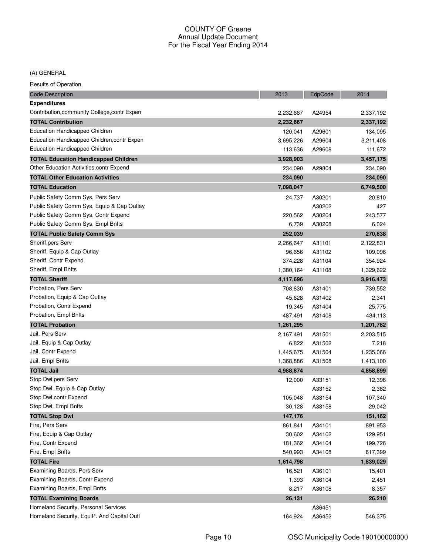(A) GENERAL

| <b>Code Description</b>                      | 2013      | EdpCode | 2014      |
|----------------------------------------------|-----------|---------|-----------|
| <b>Expenditures</b>                          |           |         |           |
| Contribution, community College, contr Expen | 2,232,667 | A24954  | 2,337,192 |
| <b>TOTAL Contribution</b>                    | 2,232,667 |         | 2,337,192 |
| <b>Education Handicapped Children</b>        | 120,041   | A29601  | 134,095   |
| Education Handicapped Children, contr Expen  | 3,695,226 | A29604  | 3,211,408 |
| <b>Education Handicapped Children</b>        | 113,636   | A29608  | 111,672   |
| <b>TOTAL Education Handicapped Children</b>  | 3,928,903 |         | 3,457,175 |
| Other Education Activities, contr Expend     | 234,090   | A29804  | 234,090   |
| <b>TOTAL Other Education Activities</b>      | 234,090   |         | 234,090   |
| <b>TOTAL Education</b>                       | 7,098,047 |         | 6,749,500 |
| Public Safety Comm Sys, Pers Serv            | 24,737    | A30201  | 20,810    |
| Public Safety Comm Sys, Equip & Cap Outlay   |           | A30202  | 427       |
| Public Safety Comm Sys, Contr Expend         | 220,562   | A30204  | 243,577   |
| Public Safety Comm Sys, Empl Bnfts           | 6,739     | A30208  | 6,024     |
| <b>TOTAL Public Safety Comm Sys</b>          | 252,039   |         | 270,838   |
| Sheriff, pers Serv                           | 2,266,647 | A31101  | 2,122,831 |
| Sheriff, Equip & Cap Outlay                  | 96,656    | A31102  | 109,096   |
| Sheriff, Contr Expend                        | 374,228   | A31104  | 354,924   |
| Sheriff, Empl Bnfts                          | 1,380,164 | A31108  | 1,329,622 |
| <b>TOTAL Sheriff</b>                         | 4,117,696 |         | 3,916,473 |
| Probation, Pers Serv                         | 708,830   | A31401  | 739,552   |
| Probation, Equip & Cap Outlay                | 45,628    | A31402  | 2,341     |
| Probation, Contr Expend                      | 19,345    | A31404  | 25,775    |
| Probation, Empl Bnfts                        | 487,491   | A31408  | 434,113   |
| <b>TOTAL Probation</b>                       | 1,261,295 |         | 1,201,782 |
| Jail, Pers Serv                              | 2,167,491 | A31501  | 2,203,515 |
| Jail, Equip & Cap Outlay                     | 6,822     | A31502  | 7,218     |
| Jail, Contr Expend                           | 1,445,675 | A31504  | 1,235,066 |
| Jail, Empl Bnfts                             | 1,368,886 | A31508  | 1,413,100 |
| <b>TOTAL Jail</b>                            | 4,988,874 |         | 4,858,899 |
| Stop Dwi, pers Serv                          | 12,000    | A33151  | 12,398    |
| Stop Dwi, Equip & Cap Outlay                 |           | A33152  | 2,382     |
| Stop Dwi,contr Expend                        | 105,048   | A33154  | 107,340   |
| Stop Dwi, Empl Bnfts                         | 30,128    | A33158  | 29,042    |
| <b>TOTAL Stop Dwi</b>                        | 147,176   |         | 151,162   |
| Fire, Pers Serv                              | 861,841   | A34101  | 891,953   |
| Fire, Equip & Cap Outlay                     | 30,602    | A34102  | 129,951   |
| Fire, Contr Expend                           | 181,362   | A34104  | 199,726   |
| Fire, Empl Bnfts                             | 540,993   | A34108  | 617,399   |
| <b>TOTAL Fire</b>                            | 1,614,798 |         | 1,839,029 |
| Examining Boards, Pers Serv                  | 16,521    | A36101  | 15,401    |
| Examining Boards, Contr Expend               | 1,393     | A36104  | 2,451     |
| Examining Boards, Empl Bnfts                 | 8,217     | A36108  | 8,357     |
| <b>TOTAL Examining Boards</b>                | 26,131    |         | 26,210    |
| Homeland Security, Personal Services         |           | A36451  |           |
| Homeland Security, EquiP. And Capital Outl   | 164,924   | A36452  | 546,375   |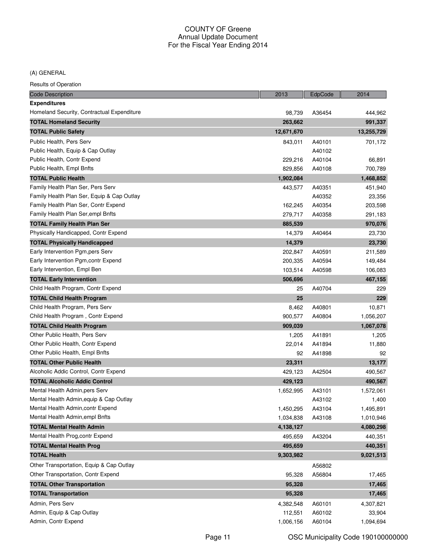(A) GENERAL

| <b>Code Description</b>                    | 2013       | EdpCode | 2014       |
|--------------------------------------------|------------|---------|------------|
| <b>Expenditures</b>                        |            |         |            |
| Homeland Security, Contractual Expenditure | 98,739     | A36454  | 444,962    |
| <b>TOTAL Homeland Security</b>             | 263,662    |         | 991,337    |
| <b>TOTAL Public Safety</b>                 | 12,671,670 |         | 13,255,729 |
| Public Health, Pers Serv                   | 843,011    | A40101  | 701,172    |
| Public Health, Equip & Cap Outlay          |            | A40102  |            |
| Public Health, Contr Expend                | 229,216    | A40104  | 66,891     |
| Public Health, Empl Bnfts                  | 829,856    | A40108  | 700,789    |
| <b>TOTAL Public Health</b>                 | 1,902,084  |         | 1,468,852  |
| Family Health Plan Ser, Pers Serv          | 443,577    | A40351  | 451,940    |
| Family Health Plan Ser, Equip & Cap Outlay |            | A40352  | 23,356     |
| Family Health Plan Ser, Contr Expend       | 162,245    | A40354  | 203,598    |
| Family Health Plan Ser, empl Bnfts         | 279,717    | A40358  | 291,183    |
| <b>TOTAL Family Health Plan Ser</b>        | 885,539    |         | 970,076    |
| Physically Handicapped, Contr Expend       | 14,379     | A40464  | 23,730     |
| <b>TOTAL Physically Handicapped</b>        | 14,379     |         | 23,730     |
| Early Intervention Pgm, pers Serv          | 202,847    | A40591  | 211,589    |
| Early Intervention Pgm, contr Expend       | 200,335    | A40594  | 149,484    |
| Early Intervention, Empl Ben               | 103,514    | A40598  | 106,083    |
| <b>TOTAL Early Intervention</b>            | 506,696    |         | 467,155    |
| Child Health Program, Contr Expend         | 25         | A40704  | 229        |
| <b>TOTAL Child Health Program</b>          | 25         |         | 229        |
| Child Health Program, Pers Serv            | 8,462      | A40801  | 10,871     |
| Child Health Program, Contr Expend         | 900,577    | A40804  | 1,056,207  |
| <b>TOTAL Child Health Program</b>          | 909,039    |         | 1,067,078  |
| Other Public Health, Pers Serv             | 1,205      | A41891  | 1,205      |
| Other Public Health, Contr Expend          | 22,014     | A41894  | 11,880     |
| Other Public Health, Empl Bnfts            | 92         | A41898  | 92         |
| <b>TOTAL Other Public Health</b>           | 23,311     |         | 13,177     |
| Alcoholic Addic Control, Contr Expend      | 429,123    | A42504  | 490,567    |
| <b>TOTAL Alcoholic Addic Control</b>       | 429,123    |         | 490,567    |
| Mental Health Admin, pers Serv             | 1,652,995  | A43101  | 1,572,061  |
| Mental Health Admin, equip & Cap Outlay    |            | A43102  | 1,400      |
| Mental Health Admin, contr Expend          | 1,450,295  | A43104  | 1,495,891  |
| Mental Health Admin, empl Bnfts            | 1,034,838  | A43108  | 1,010,946  |
| <b>TOTAL Mental Health Admin</b>           | 4,138,127  |         | 4,080,298  |
| Mental Health Prog, contr Expend           | 495,659    | A43204  | 440,351    |
| <b>TOTAL Mental Health Prog</b>            | 495,659    |         | 440,351    |
| <b>TOTAL Health</b>                        | 9,303,982  |         | 9,021,513  |
| Other Transportation, Equip & Cap Outlay   |            | A56802  |            |
| Other Transportation, Contr Expend         | 95,328     | A56804  | 17,465     |
| <b>TOTAL Other Transportation</b>          |            |         |            |
|                                            | 95,328     |         | 17,465     |
| <b>TOTAL Transportation</b>                | 95,328     |         | 17,465     |
| Admin, Pers Serv                           | 4,382,548  | A60101  | 4,307,821  |
| Admin, Equip & Cap Outlay                  | 112,551    | A60102  | 33,904     |
| Admin, Contr Expend                        | 1,006,156  | A60104  | 1,094,694  |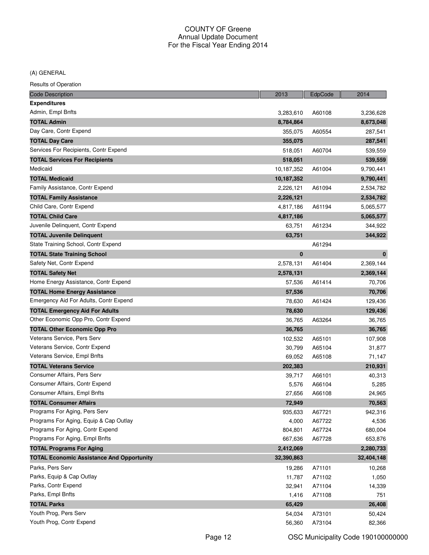(A) GENERAL

| <b>Code Description</b>                          | 2013       | EdpCode | 2014       |
|--------------------------------------------------|------------|---------|------------|
| <b>Expenditures</b>                              |            |         |            |
| Admin, Empl Bnfts                                | 3,283,610  | A60108  | 3,236,628  |
| <b>TOTAL Admin</b>                               | 8,784,864  |         | 8,673,048  |
| Day Care, Contr Expend                           | 355,075    | A60554  | 287,541    |
| <b>TOTAL Day Care</b>                            | 355,075    |         | 287,541    |
| Services For Recipients, Contr Expend            | 518,051    | A60704  | 539,559    |
| <b>TOTAL Services For Recipients</b>             | 518,051    |         | 539,559    |
| Medicaid                                         | 10,187,352 | A61004  | 9,790,441  |
| <b>TOTAL Medicaid</b>                            | 10,187,352 |         | 9,790,441  |
| Family Assistance, Contr Expend                  | 2,226,121  | A61094  | 2,534,782  |
| <b>TOTAL Family Assistance</b>                   | 2,226,121  |         | 2,534,782  |
| Child Care, Contr Expend                         | 4,817,186  | A61194  | 5,065,577  |
| <b>TOTAL Child Care</b>                          | 4,817,186  |         | 5,065,577  |
| Juvenile Delinquent, Contr Expend                | 63,751     | A61234  | 344,922    |
| <b>TOTAL Juvenile Delinguent</b>                 | 63,751     |         | 344,922    |
| State Training School, Contr Expend              |            | A61294  |            |
| <b>TOTAL State Training School</b>               | $\bf{0}$   |         | $\bf{0}$   |
| Safety Net, Contr Expend                         | 2,578,131  | A61404  | 2,369,144  |
| <b>TOTAL Safety Net</b>                          | 2,578,131  |         | 2,369,144  |
| Home Energy Assistance, Contr Expend             | 57,536     | A61414  | 70,706     |
| <b>TOTAL Home Energy Assistance</b>              | 57,536     |         | 70,706     |
| Emergency Aid For Adults, Contr Expend           | 78,630     | A61424  | 129,436    |
| <b>TOTAL Emergency Aid For Adults</b>            | 78,630     |         | 129,436    |
| Other Economic Opp Pro, Contr Expend             | 36,765     | A63264  | 36,765     |
| <b>TOTAL Other Economic Opp Pro</b>              | 36,765     |         | 36,765     |
| Veterans Service, Pers Serv                      | 102,532    | A65101  | 107,908    |
| Veterans Service, Contr Expend                   | 30,799     | A65104  | 31,877     |
| Veterans Service, Empl Bnfts                     | 69,052     | A65108  | 71,147     |
| <b>TOTAL Veterans Service</b>                    | 202,383    |         | 210,931    |
| Consumer Affairs, Pers Serv                      | 39,717     | A66101  | 40,313     |
| Consumer Affairs, Contr Expend                   | 5,576      | A66104  | 5,285      |
| Consumer Affairs, Empl Bnfts                     | 27,656     | A66108  | 24,965     |
| <b>TOTAL Consumer Affairs</b>                    | 72,949     |         | 70,563     |
| Programs For Aging, Pers Serv                    | 935,633    | A67721  | 942,316    |
| Programs For Aging, Equip & Cap Outlay           | 4,000      | A67722  | 4,536      |
| Programs For Aging, Contr Expend                 | 804,801    | A67724  | 680,004    |
| Programs For Aging, Empl Bnfts                   | 667,636    | A67728  | 653,876    |
| <b>TOTAL Programs For Aging</b>                  | 2,412,069  |         | 2,280,733  |
| <b>TOTAL Economic Assistance And Opportunity</b> | 32,390,863 |         | 32,404,148 |
| Parks, Pers Serv                                 | 19,286     | A71101  | 10,268     |
| Parks, Equip & Cap Outlay                        | 11,787     | A71102  | 1,050      |
| Parks, Contr Expend                              | 32,941     | A71104  | 14,339     |
| Parks, Empl Bnfts                                | 1,416      | A71108  | 751        |
| <b>TOTAL Parks</b>                               | 65,429     |         | 26,408     |
| Youth Prog, Pers Serv                            | 54,034     | A73101  | 50,424     |
| Youth Prog, Contr Expend                         | 56,360     | A73104  | 82,366     |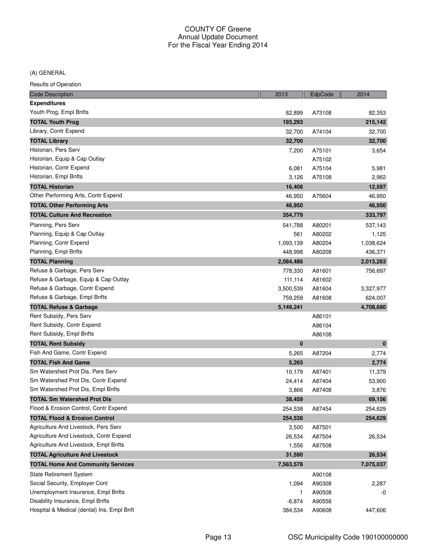(A) GENERAL

| <b>Code Description</b>                    | 2013      | EdpCode | 2014      |
|--------------------------------------------|-----------|---------|-----------|
| <b>Expenditures</b>                        |           |         |           |
| Youth Prog, Empl Bnfts                     | 82,899    | A73108  | 82,353    |
| <b>TOTAL Youth Prog</b>                    | 193,293   |         | 215,142   |
| Library, Contr Expend                      | 32,700    | A74104  | 32,700    |
| <b>TOTAL Library</b>                       | 32,700    |         | 32,700    |
| Historian, Pers Serv                       | 7,200     | A75101  | 3,654     |
| Historian, Equip & Cap Outlay              |           | A75102  |           |
| Historian, Contr Expend                    | 6,081     | A75104  | 5,981     |
| Historian, Empl Bnfts                      | 3,126     | A75108  | 2,962     |
| <b>TOTAL Historian</b>                     | 16,406    |         | 12,597    |
| Other Performing Arts, Contr Expend        | 46,950    | A75604  | 46,950    |
| <b>TOTAL Other Performing Arts</b>         | 46,950    |         | 46,950    |
| <b>TOTAL Culture And Recreation</b>        | 354,779   |         | 333,797   |
| Planning, Pers Serv                        | 541,788   | A80201  | 537,143   |
| Planning, Equip & Cap Outlay               | 561       | A80202  | 1,125     |
| Planning, Contr Expend                     | 1,093,139 | A80204  | 1,038,624 |
| Planning, Empl Bnfts                       | 448,998   | A80208  | 436,371   |
| <b>TOTAL Planning</b>                      | 2,084,486 |         | 2,013,263 |
| Refuse & Garbage, Pers Serv                | 778,330   | A81601  | 756,697   |
| Refuse & Garbage, Equip & Cap Outlay       | 111,114   | A81602  |           |
| Refuse & Garbage, Contr Expend             | 3,500,539 | A81604  | 3,327,977 |
| Refuse & Garbage, Empl Bnfts               | 759,259   | A81608  | 624,007   |
| <b>TOTAL Refuse &amp; Garbage</b>          | 5,149,241 |         | 4,708,680 |
| Rent Subsidy, Pers Serv                    |           | A86101  |           |
| Rent Subsidy, Contr Expend                 |           | A86104  |           |
| Rent Subsidy, Empl Bnfts                   |           | A86108  |           |
| <b>TOTAL Rent Subsidy</b>                  | $\bf{0}$  |         | $\bf{0}$  |
| Fish And Game, Contr Expend                | 5,265     | A87204  | 2,774     |
| <b>TOTAL Fish And Game</b>                 | 5,265     |         | 2,774     |
| Sm Watershed Prot Dis, Pers Serv           | 10,179    | A87401  | 11,379    |
| Sm Watershed Prot Dis, Contr Expend        | 24,414    | A87404  | 53,900    |
| Sm Watershed Prot Dis, Empl Bnfts          | 3,866     | A87408  | 3,876     |
| <b>TOTAL Sm Watershed Prot Dis</b>         | 38,459    |         | 69,156    |
| Flood & Erosion Control, Contr Expend      | 254,538   | A87454  | 254,629   |
| <b>TOTAL Flood &amp; Erosion Control</b>   | 254,538   |         | 254,629   |
| Agriculture And Livestock, Pers Serv       | 3,500     | A87501  |           |
| Agriculture And Livestock, Contr Expend    | 26,534    | A87504  | 26,534    |
| Agriculture And Livestock, Empl Bnfts      | 1,556     | A87508  |           |
| <b>TOTAL Agriculture And Livestock</b>     | 31,590    |         | 26,534    |
| <b>TOTAL Home And Community Services</b>   | 7,563,578 |         | 7,075,037 |
| <b>State Retirement System</b>             |           | A90108  |           |
| Social Security, Employer Cont             | 1,094     | A90308  | 2,287     |
| Unemployment Insurance, Empl Bnfts         | 1         | A90508  | -0        |
| Disability Insurance, Empl Bnfts           | $-6,874$  | A90558  |           |
| Hospital & Medical (dental) Ins, Empl Bnft | 384,534   | A90608  | 447,606   |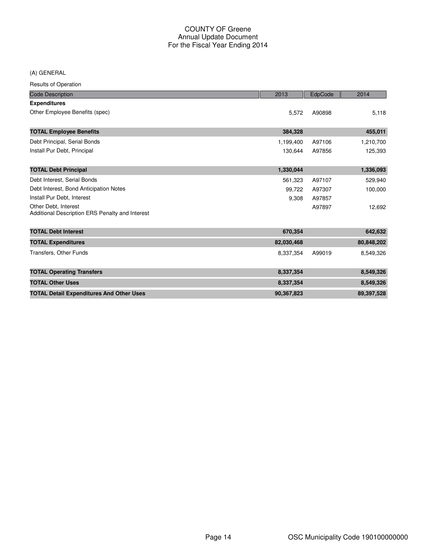(A) GENERAL

| <b>Code Description</b>                                                 | 2013       | EdpCode | 2014       |
|-------------------------------------------------------------------------|------------|---------|------------|
| <b>Expenditures</b>                                                     |            |         |            |
| Other Employee Benefits (spec)                                          | 5,572      | A90898  | 5,118      |
| <b>TOTAL Employee Benefits</b>                                          | 384,328    |         | 455,011    |
| Debt Principal, Serial Bonds                                            | 1,199,400  | A97106  | 1,210,700  |
| Install Pur Debt, Principal                                             | 130,644    | A97856  | 125,393    |
| <b>TOTAL Debt Principal</b>                                             | 1,330,044  |         | 1,336,093  |
| Debt Interest, Serial Bonds                                             | 561,323    | A97107  | 529,940    |
| Debt Interest, Bond Anticipation Notes                                  | 99,722     | A97307  | 100,000    |
| Install Pur Debt, Interest                                              | 9,308      | A97857  |            |
| Other Debt, Interest<br>Additional Description ERS Penalty and Interest |            | A97897  | 12,692     |
| <b>TOTAL Debt Interest</b>                                              | 670,354    |         | 642,632    |
| <b>TOTAL Expenditures</b>                                               | 82,030,468 |         | 80,848,202 |
| <b>Transfers, Other Funds</b>                                           | 8,337,354  | A99019  | 8,549,326  |
| <b>TOTAL Operating Transfers</b>                                        | 8,337,354  |         | 8,549,326  |
| <b>TOTAL Other Uses</b>                                                 | 8,337,354  |         | 8,549,326  |
| <b>TOTAL Detail Expenditures And Other Uses</b>                         | 90,367,823 |         | 89,397,528 |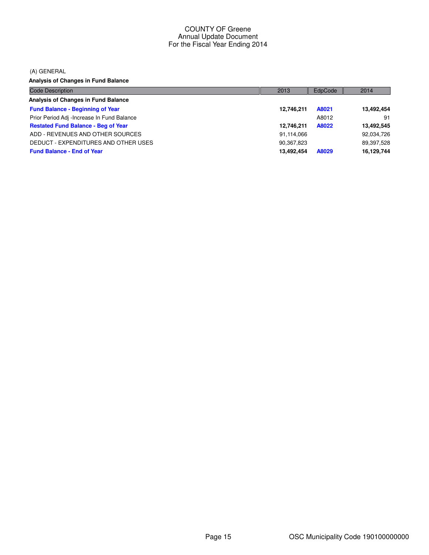(A) GENERAL

**Analysis of Changes in Fund Balance**

| <b>Code Description</b>                    | 2013       | EdpCode | 2014       |
|--------------------------------------------|------------|---------|------------|
| Analysis of Changes in Fund Balance        |            |         |            |
| <b>Fund Balance - Beginning of Year</b>    | 12,746,211 | A8021   | 13,492,454 |
| Prior Period Adj -Increase In Fund Balance |            | A8012   | 91         |
| <b>Restated Fund Balance - Beg of Year</b> | 12.746.211 | A8022   | 13,492,545 |
| ADD - REVENUES AND OTHER SOURCES           | 91,114,066 |         | 92,034,726 |
| DEDUCT - EXPENDITURES AND OTHER USES       | 90,367,823 |         | 89,397,528 |
| <b>Fund Balance - End of Year</b>          | 13.492.454 | A8029   | 16,129,744 |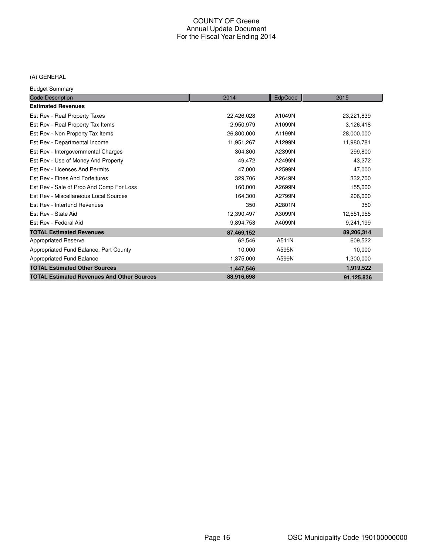# (A) GENERAL

Budget Summary

| <b>Code Description</b>                           | 2014       | EdpCode | 2015       |
|---------------------------------------------------|------------|---------|------------|
| <b>Estimated Revenues</b>                         |            |         |            |
| Est Rev - Real Property Taxes                     | 22,426,028 | A1049N  | 23,221,839 |
| Est Rev - Real Property Tax Items                 | 2,950,979  | A1099N  | 3,126,418  |
| Est Rev - Non Property Tax Items                  | 26,800,000 | A1199N  | 28,000,000 |
| Est Rev - Departmental Income                     | 11,951,267 | A1299N  | 11,980,781 |
| Est Rev - Intergovernmental Charges               | 304,800    | A2399N  | 299,800    |
| Est Rev - Use of Money And Property               | 49,472     | A2499N  | 43,272     |
| Est Rev - Licenses And Permits                    | 47,000     | A2599N  | 47,000     |
| Est Rev - Fines And Forfeitures                   | 329,706    | A2649N  | 332,700    |
| Est Rev - Sale of Prop And Comp For Loss          | 160,000    | A2699N  | 155,000    |
| Est Rev - Miscellaneous Local Sources             | 164,300    | A2799N  | 206,000    |
| Est Rev - Interfund Revenues                      | 350        | A2801N  | 350        |
| Est Rev - State Aid                               | 12,390,497 | A3099N  | 12,551,955 |
| Est Rev - Federal Aid                             | 9,894,753  | A4099N  | 9,241,199  |
| <b>TOTAL Estimated Revenues</b>                   | 87,469,152 |         | 89,206,314 |
| <b>Appropriated Reserve</b>                       | 62,546     | A511N   | 609,522    |
| Appropriated Fund Balance, Part County            | 10,000     | A595N   | 10,000     |
| Appropriated Fund Balance                         | 1,375,000  | A599N   | 1,300,000  |
| <b>TOTAL Estimated Other Sources</b>              | 1,447,546  |         | 1,919,522  |
| <b>TOTAL Estimated Revenues And Other Sources</b> | 88,916,698 |         | 91,125,836 |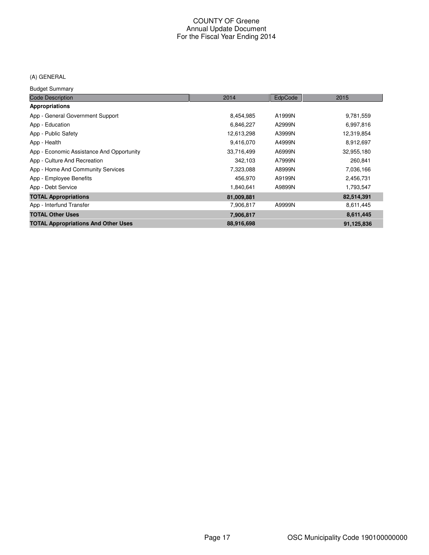# (A) GENERAL

Budget Summary

| <b>Code Description</b>                    | 2014       | EdpCode | 2015       |
|--------------------------------------------|------------|---------|------------|
| <b>Appropriations</b>                      |            |         |            |
| App - General Government Support           | 8,454,985  | A1999N  | 9,781,559  |
| App - Education                            | 6,846,227  | A2999N  | 6,997,816  |
| App - Public Safety                        | 12,613,298 | A3999N  | 12,319,854 |
| App - Health                               | 9,416,070  | A4999N  | 8,912,697  |
| App - Economic Assistance And Opportunity  | 33,716,499 | A6999N  | 32,955,180 |
| App - Culture And Recreation               | 342,103    | A7999N  | 260,841    |
| App - Home And Community Services          | 7,323,088  | A8999N  | 7,036,166  |
| App - Employee Benefits                    | 456,970    | A9199N  | 2,456,731  |
| App - Debt Service                         | 1,840,641  | A9899N  | 1,793,547  |
| <b>TOTAL Appropriations</b>                | 81,009,881 |         | 82,514,391 |
| App - Interfund Transfer                   | 7,906,817  | A9999N  | 8,611,445  |
| <b>TOTAL Other Uses</b>                    | 7,906,817  |         | 8,611,445  |
| <b>TOTAL Appropriations And Other Uses</b> | 88,916,698 |         | 91,125,836 |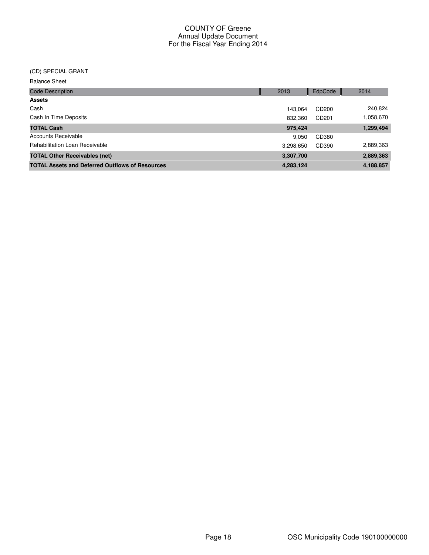# (CD) SPECIAL GRANT

| <b>Balance Sheet</b>                                   |           |                   |           |
|--------------------------------------------------------|-----------|-------------------|-----------|
| <b>Code Description</b>                                | 2013      | EdpCode           | 2014      |
| <b>Assets</b>                                          |           |                   |           |
| Cash                                                   | 143.064   | CD200             | 240,824   |
| Cash In Time Deposits                                  | 832.360   | CD <sub>201</sub> | 1,058,670 |
| <b>TOTAL Cash</b>                                      | 975,424   |                   | 1,299,494 |
| Accounts Receivable                                    | 9.050     | CD380             |           |
| <b>Rehabilitation Loan Receivable</b>                  | 3,298,650 | CD390             | 2,889,363 |
| <b>TOTAL Other Receivables (net)</b>                   | 3,307,700 |                   | 2,889,363 |
| <b>TOTAL Assets and Deferred Outflows of Resources</b> | 4,283,124 |                   | 4,188,857 |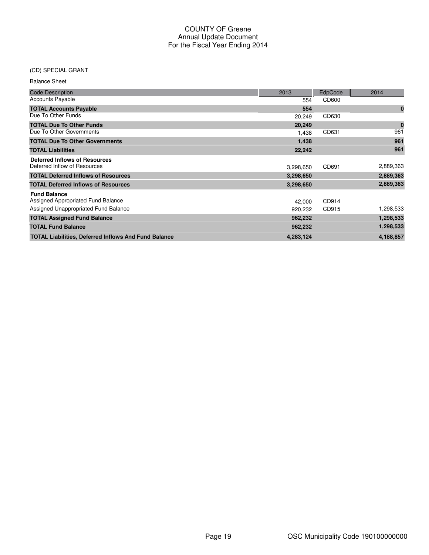# (CD) SPECIAL GRANT

| <b>Balance Sheet</b> |  |
|----------------------|--|
|----------------------|--|

| <b>Code Description</b>                                     | 2013      | EdpCode | 2014        |
|-------------------------------------------------------------|-----------|---------|-------------|
| <b>Accounts Payable</b>                                     | 554       | CD600   |             |
| <b>TOTAL Accounts Payable</b>                               | 554       |         | $\bf{0}$    |
| Due To Other Funds                                          | 20,249    | CD630   |             |
| <b>TOTAL Due To Other Funds</b>                             | 20,249    |         | $\mathbf 0$ |
| Due To Other Governments                                    | 1.438     | CD631   | 961         |
| <b>TOTAL Due To Other Governments</b>                       | 1,438     |         | 961         |
| <b>TOTAL Liabilities</b>                                    | 22,242    |         | 961         |
| <b>Deferred Inflows of Resources</b>                        |           |         |             |
| Deferred Inflow of Resources                                | 3,298,650 | CD691   | 2,889,363   |
| <b>TOTAL Deferred Inflows of Resources</b>                  | 3,298,650 |         | 2,889,363   |
| <b>TOTAL Deferred Inflows of Resources</b>                  | 3,298,650 |         | 2,889,363   |
| <b>Fund Balance</b>                                         |           |         |             |
| Assigned Appropriated Fund Balance                          | 42,000    | CD914   |             |
| Assigned Unappropriated Fund Balance                        | 920.232   | CD915   | 1,298,533   |
| <b>TOTAL Assigned Fund Balance</b>                          | 962,232   |         | 1,298,533   |
| <b>TOTAL Fund Balance</b>                                   | 962,232   |         | 1,298,533   |
| <b>TOTAL Liabilities, Deferred Inflows And Fund Balance</b> | 4,283,124 |         | 4,188,857   |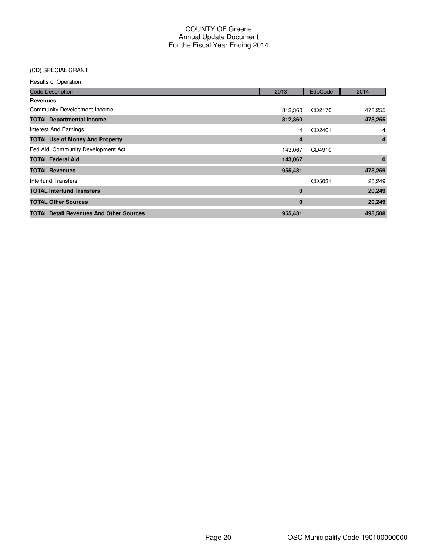# (CD) SPECIAL GRANT

| <b>Code Description</b>                        | 2013           | EdpCode | 2014     |
|------------------------------------------------|----------------|---------|----------|
| <b>Revenues</b>                                |                |         |          |
| <b>Community Development Income</b>            | 812,360        | CD2170  | 478,255  |
| <b>TOTAL Departmental Income</b>               | 812,360        |         | 478,255  |
| <b>Interest And Earnings</b>                   | 4              | CD2401  | 4        |
| <b>TOTAL Use of Money And Property</b>         | $\overline{4}$ |         | 4        |
| Fed Aid, Community Development Act             | 143,067        | CD4910  |          |
| <b>TOTAL Federal Aid</b>                       | 143,067        |         | $\bf{0}$ |
| <b>TOTAL Revenues</b>                          | 955,431        |         | 478,259  |
| <b>Interfund Transfers</b>                     |                | CD5031  | 20,249   |
| <b>TOTAL Interfund Transfers</b>               | $\bf{0}$       |         | 20,249   |
| <b>TOTAL Other Sources</b>                     | $\bf{0}$       |         | 20,249   |
| <b>TOTAL Detail Revenues And Other Sources</b> | 955,431        |         | 498,508  |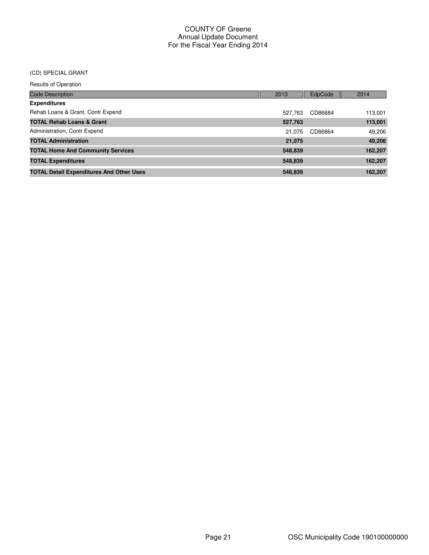#### (CD) SPECIAL GRANT

| <b>Code Description</b>                         | 2013    | EdpCode | 2014    |
|-------------------------------------------------|---------|---------|---------|
| <b>Expenditures</b>                             |         |         |         |
| Rehab Loans & Grant, Contr Expend               | 527.763 | CD86684 | 113,001 |
| <b>TOTAL Rehab Loans &amp; Grant</b>            | 527,763 |         | 113,001 |
| Administration, Contr Expend                    | 21.075  | CD86864 | 49,206  |
| <b>TOTAL Administration</b>                     | 21,075  |         | 49,206  |
| <b>TOTAL Home And Community Services</b>        | 548,839 |         | 162,207 |
| <b>TOTAL Expenditures</b>                       | 548,839 |         | 162,207 |
| <b>TOTAL Detail Expenditures And Other Uses</b> | 548,839 |         | 162,207 |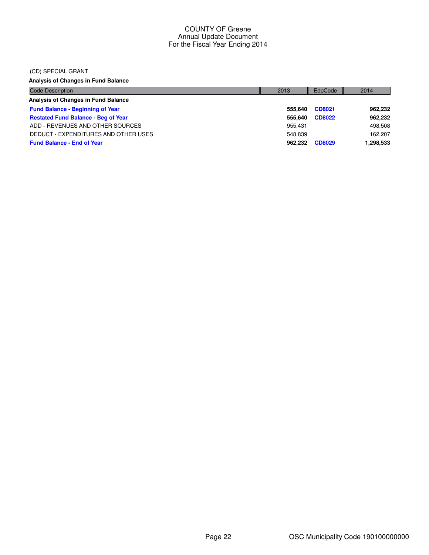#### (CD) SPECIAL GRANT

**Analysis of Changes in Fund Balance**

| Code Description                           | 2013    | EdpCode       | 2014      |
|--------------------------------------------|---------|---------------|-----------|
| Analysis of Changes in Fund Balance        |         |               |           |
| <b>Fund Balance - Beginning of Year</b>    | 555.640 | CD8021        | 962,232   |
| <b>Restated Fund Balance - Beg of Year</b> | 555.640 | <b>CD8022</b> | 962,232   |
| ADD - REVENUES AND OTHER SOURCES           | 955.431 |               | 498,508   |
| DEDUCT - EXPENDITURES AND OTHER USES       | 548.839 |               | 162.207   |
| <b>Fund Balance - End of Year</b>          | 962.232 | CD8029        | 1,298,533 |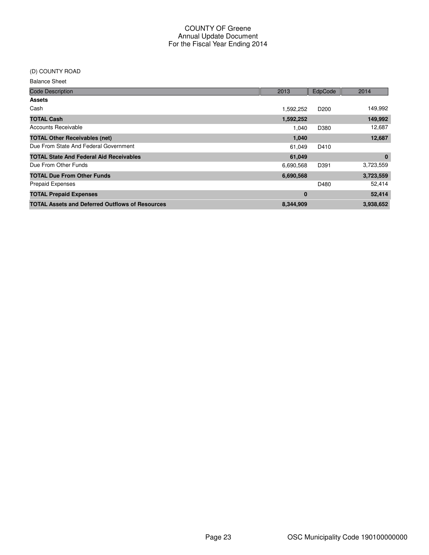#### (D) COUNTY ROAD

Balance Sheet

| <b>Code Description</b>                                | 2013      | EdpCode          | 2014      |
|--------------------------------------------------------|-----------|------------------|-----------|
| <b>Assets</b>                                          |           |                  |           |
| Cash                                                   | 1,592,252 | D <sub>200</sub> | 149,992   |
| <b>TOTAL Cash</b>                                      | 1,592,252 |                  | 149,992   |
| <b>Accounts Receivable</b>                             | 1.040     | D380             | 12,687    |
| <b>TOTAL Other Receivables (net)</b>                   | 1,040     |                  | 12,687    |
| Due From State And Federal Government                  | 61,049    | D410             |           |
| <b>TOTAL State And Federal Aid Receivables</b>         | 61,049    |                  | $\bf{0}$  |
| Due From Other Funds                                   | 6,690,568 | D391             | 3,723,559 |
| <b>TOTAL Due From Other Funds</b>                      | 6,690,568 |                  | 3,723,559 |
| <b>Prepaid Expenses</b>                                |           | D480             | 52,414    |
| <b>TOTAL Prepaid Expenses</b>                          | 0         |                  | 52,414    |
| <b>TOTAL Assets and Deferred Outflows of Resources</b> | 8,344,909 |                  | 3,938,652 |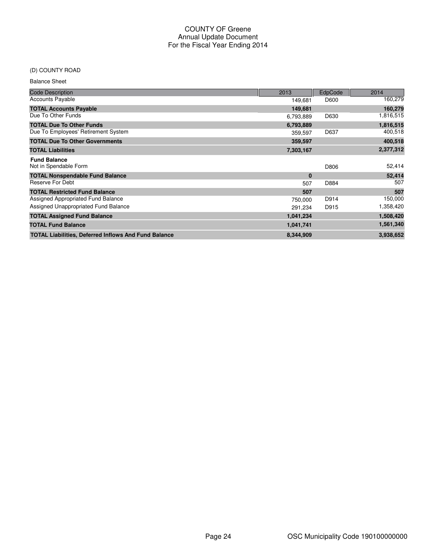# (D) COUNTY ROAD

Balance Sheet

| <b>Code Description</b>                                     | 2013      | <b>EdpCode</b> | 2014      |
|-------------------------------------------------------------|-----------|----------------|-----------|
| <b>Accounts Payable</b>                                     | 149,681   | D600           | 160,279   |
| <b>TOTAL Accounts Payable</b>                               | 149,681   |                | 160,279   |
| Due To Other Funds                                          | 6,793,889 | D630           | 1,816,515 |
| <b>TOTAL Due To Other Funds</b>                             | 6,793,889 |                | 1,816,515 |
| Due To Employees' Retirement System                         | 359,597   | D637           | 400,518   |
| <b>TOTAL Due To Other Governments</b>                       | 359,597   |                | 400,518   |
| <b>TOTAL Liabilities</b>                                    | 7,303,167 |                | 2,377,312 |
| <b>Fund Balance</b>                                         |           |                |           |
| Not in Spendable Form                                       |           | D806           | 52,414    |
| <b>TOTAL Nonspendable Fund Balance</b>                      | $\bf{0}$  |                | 52,414    |
| Reserve For Debt                                            | 507       | D884           | 507       |
| <b>TOTAL Restricted Fund Balance</b>                        | 507       |                | 507       |
| Assigned Appropriated Fund Balance                          | 750.000   | D914           | 150,000   |
| Assigned Unappropriated Fund Balance                        | 291,234   | D915           | 1,358,420 |
| <b>TOTAL Assigned Fund Balance</b>                          | 1,041,234 |                | 1,508,420 |
| <b>TOTAL Fund Balance</b>                                   | 1,041,741 |                | 1,561,340 |
| <b>TOTAL Liabilities, Deferred Inflows And Fund Balance</b> | 8,344,909 |                | 3,938,652 |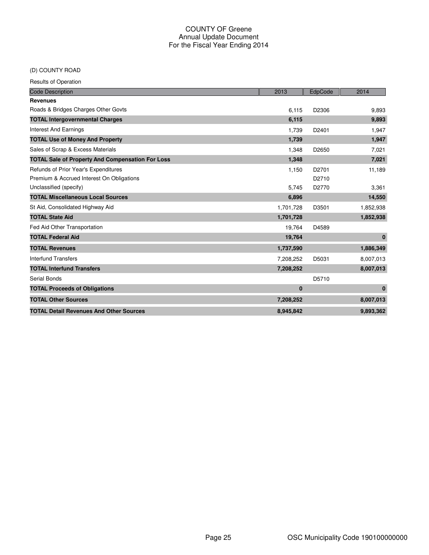# (D) COUNTY ROAD

| <b>Code Description</b>                                 | 2013      | EdpCode           | 2014         |
|---------------------------------------------------------|-----------|-------------------|--------------|
| <b>Revenues</b>                                         |           |                   |              |
| Roads & Bridges Charges Other Govts                     | 6,115     | D2306             | 9,893        |
| <b>TOTAL Intergovernmental Charges</b>                  | 6,115     |                   | 9,893        |
| <b>Interest And Earnings</b>                            | 1,739     | D2401             | 1,947        |
| <b>TOTAL Use of Money And Property</b>                  | 1,739     |                   | 1,947        |
| Sales of Scrap & Excess Materials                       | 1,348     | D2650             | 7,021        |
| <b>TOTAL Sale of Property And Compensation For Loss</b> | 1,348     |                   | 7,021        |
| Refunds of Prior Year's Expenditures                    | 1,150     | D <sub>2701</sub> | 11,189       |
| Premium & Accrued Interest On Obligations               |           | D2710             |              |
| Unclassified (specify)                                  | 5,745     | D2770             | 3,361        |
| <b>TOTAL Miscellaneous Local Sources</b>                | 6,896     |                   | 14,550       |
| St Aid, Consolidated Highway Aid                        | 1,701,728 | D3501             | 1,852,938    |
| <b>TOTAL State Aid</b>                                  | 1,701,728 |                   | 1,852,938    |
| Fed Aid Other Transportation                            | 19,764    | D4589             |              |
| <b>TOTAL Federal Aid</b>                                | 19,764    |                   | $\mathbf{0}$ |
| <b>TOTAL Revenues</b>                                   | 1,737,590 |                   | 1,886,349    |
| <b>Interfund Transfers</b>                              | 7,208,252 | D5031             | 8,007,013    |
| <b>TOTAL Interfund Transfers</b>                        | 7,208,252 |                   | 8,007,013    |
| <b>Serial Bonds</b>                                     |           | D5710             |              |
| <b>TOTAL Proceeds of Obligations</b>                    | $\bf{0}$  |                   | $\mathbf{0}$ |
| <b>TOTAL Other Sources</b>                              | 7,208,252 |                   | 8,007,013    |
| <b>TOTAL Detail Revenues And Other Sources</b>          | 8,945,842 |                   | 9,893,362    |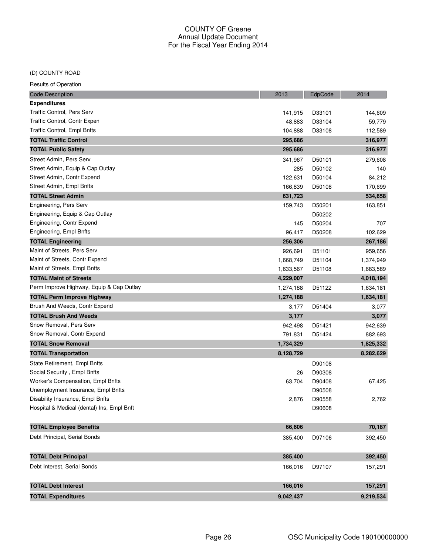#### (D) COUNTY ROAD

| <b>Code Description</b>                    | 2013      | EdpCode | 2014      |
|--------------------------------------------|-----------|---------|-----------|
| <b>Expenditures</b>                        |           |         |           |
| Traffic Control, Pers Serv                 | 141,915   | D33101  | 144,609   |
| Traffic Control, Contr Expen               | 48,883    | D33104  | 59,779    |
| Traffic Control, Empl Bnfts                | 104,888   | D33108  | 112,589   |
| <b>TOTAL Traffic Control</b>               | 295,686   |         | 316,977   |
| <b>TOTAL Public Safety</b>                 | 295,686   |         | 316,977   |
| Street Admin, Pers Serv                    | 341,967   | D50101  | 279,608   |
| Street Admin, Equip & Cap Outlay           | 285       | D50102  | 140       |
| Street Admin, Contr Expend                 | 122,631   | D50104  | 84,212    |
| Street Admin, Empl Bnfts                   | 166,839   | D50108  | 170,699   |
| <b>TOTAL Street Admin</b>                  | 631,723   |         | 534,658   |
| Engineering, Pers Serv                     | 159,743   | D50201  | 163,851   |
| Engineering, Equip & Cap Outlay            |           | D50202  |           |
| Engineering, Contr Expend                  | 145       | D50204  | 707       |
| Engineering, Empl Bnfts                    | 96,417    | D50208  | 102,629   |
| <b>TOTAL Engineering</b>                   | 256,306   |         | 267,186   |
| Maint of Streets, Pers Serv                | 926,691   | D51101  | 959,656   |
| Maint of Streets, Contr Expend             | 1,668,749 | D51104  | 1,374,949 |
| Maint of Streets, Empl Bnfts               | 1,633,567 | D51108  | 1,683,589 |
| <b>TOTAL Maint of Streets</b>              | 4,229,007 |         | 4,018,194 |
| Perm Improve Highway, Equip & Cap Outlay   | 1,274,188 | D51122  | 1,634,181 |
| <b>TOTAL Perm Improve Highway</b>          | 1,274,188 |         | 1,634,181 |
| Brush And Weeds, Contr Expend              | 3,177     | D51404  | 3,077     |
| <b>TOTAL Brush And Weeds</b>               | 3,177     |         | 3,077     |
| Snow Removal, Pers Serv                    | 942,498   | D51421  | 942,639   |
| Snow Removal, Contr Expend                 | 791,831   | D51424  | 882,693   |
| <b>TOTAL Snow Removal</b>                  | 1,734,329 |         | 1,825,332 |
| <b>TOTAL Transportation</b>                | 8,128,729 |         | 8,282,629 |
| State Retirement, Empl Bnfts               |           | D90108  |           |
| Social Security, Empl Bnfts                | 26        | D90308  |           |
| Worker's Compensation, Empl Bnfts          | 63,704    | D90408  | 67,425    |
| Unemployment Insurance, Empl Bnfts         |           | D90508  |           |
| Disability Insurance, Empl Bnfts           | 2,876     | D90558  | 2,762     |
| Hospital & Medical (dental) Ins, Empl Bnft |           | D90608  |           |
| <b>TOTAL Employee Benefits</b>             | 66,606    |         | 70,187    |
| Debt Principal, Serial Bonds               | 385,400   | D97106  | 392,450   |
| <b>TOTAL Debt Principal</b>                | 385,400   |         | 392,450   |
| Debt Interest, Serial Bonds                | 166,016   | D97107  | 157,291   |
| <b>TOTAL Debt Interest</b>                 | 166,016   |         | 157,291   |
| <b>TOTAL Expenditures</b>                  | 9,042,437 |         | 9,219,534 |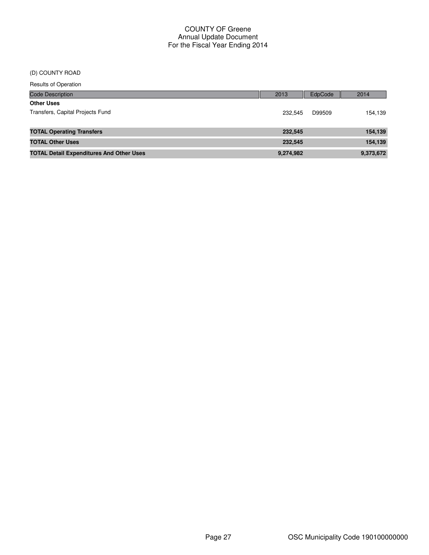#### (D) COUNTY ROAD

| Code Description                                | 2013      | <b>EdpCode</b> | 2014      |
|-------------------------------------------------|-----------|----------------|-----------|
| <b>Other Uses</b>                               |           |                |           |
| Transfers, Capital Projects Fund                | 232.545   | D99509         | 154,139   |
|                                                 |           |                |           |
| <b>TOTAL Operating Transfers</b>                | 232,545   |                | 154,139   |
| <b>TOTAL Other Uses</b>                         | 232,545   |                | 154,139   |
| <b>TOTAL Detail Expenditures And Other Uses</b> | 9,274,982 |                | 9,373,672 |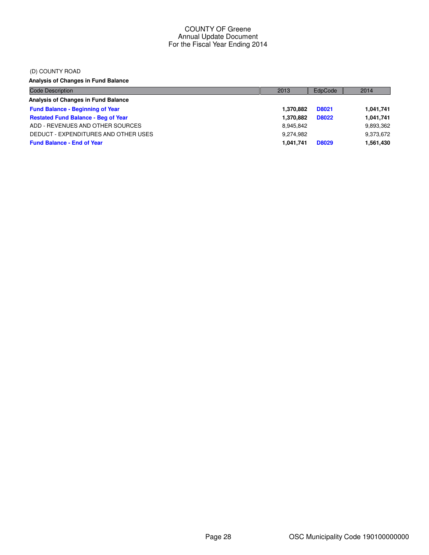#### (D) COUNTY ROAD

**Analysis of Changes in Fund Balance**

| <b>Code Description</b>                    | 2013      | EdpCode      | 2014      |
|--------------------------------------------|-----------|--------------|-----------|
| Analysis of Changes in Fund Balance        |           |              |           |
| <b>Fund Balance - Beginning of Year</b>    | 1,370,882 | <b>D8021</b> | 1,041,741 |
| <b>Restated Fund Balance - Beg of Year</b> | 1.370.882 | <b>D8022</b> | 1,041,741 |
| ADD - REVENUES AND OTHER SOURCES           | 8,945,842 |              | 9,893,362 |
| DEDUCT - EXPENDITURES AND OTHER USES       | 9.274.982 |              | 9,373,672 |
| <b>Fund Balance - End of Year</b>          | 1,041,741 | <b>D8029</b> | 1,561,430 |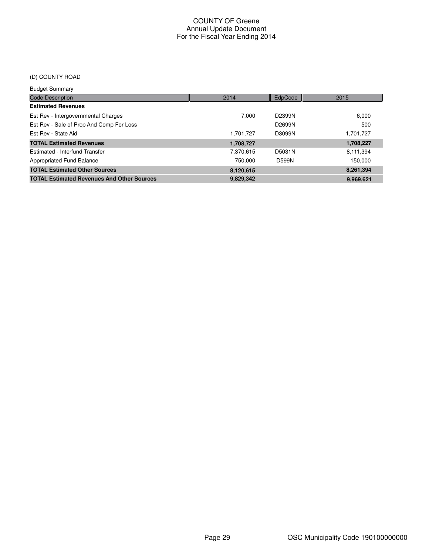# (D) COUNTY ROAD

| <b>Budget Summary</b>                             |           |              |           |
|---------------------------------------------------|-----------|--------------|-----------|
| <b>Code Description</b>                           | 2014      | EdpCode      | 2015      |
| <b>Estimated Revenues</b>                         |           |              |           |
| Est Rev - Intergovernmental Charges               | 7.000     | D2399N       | 6,000     |
| Est Rev - Sale of Prop And Comp For Loss          |           | D2699N       | 500       |
| Est Rev - State Aid                               | 1.701.727 | D3099N       | 1,701,727 |
| <b>TOTAL Estimated Revenues</b>                   | 1,708,727 |              | 1,708,227 |
| Estimated - Interfund Transfer                    | 7,370,615 | D5031N       | 8,111,394 |
| Appropriated Fund Balance                         | 750.000   | <b>D599N</b> | 150.000   |
| <b>TOTAL Estimated Other Sources</b>              | 8,120,615 |              | 8,261,394 |
| <b>TOTAL Estimated Revenues And Other Sources</b> | 9.829.342 |              | 9,969,621 |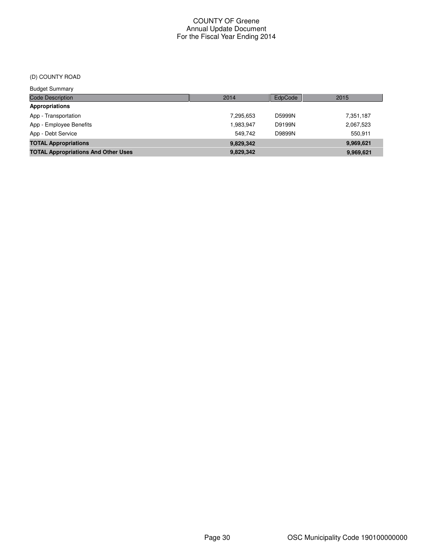# (D) COUNTY ROAD

| <b>Budget Summary</b>                      |           |         |           |
|--------------------------------------------|-----------|---------|-----------|
| <b>Code Description</b>                    | 2014      | EdpCode | 2015      |
| <b>Appropriations</b>                      |           |         |           |
| App - Transportation                       | 7,295,653 | D5999N  | 7,351,187 |
| App - Employee Benefits                    | 1,983,947 | D9199N  | 2,067,523 |
| App - Debt Service                         | 549.742   | D9899N  | 550.911   |
| <b>TOTAL Appropriations</b>                | 9,829,342 |         | 9,969,621 |
| <b>TOTAL Appropriations And Other Uses</b> | 9,829,342 |         | 9,969,621 |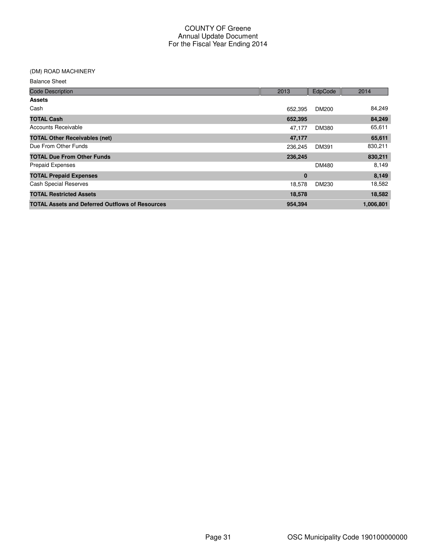# (DM) ROAD MACHINERY

Balance Sheet

| <b>Code Description</b>                                | 2013    | EdpCode      | 2014      |
|--------------------------------------------------------|---------|--------------|-----------|
| <b>Assets</b>                                          |         |              |           |
| Cash                                                   | 652,395 | <b>DM200</b> | 84,249    |
| <b>TOTAL Cash</b>                                      | 652,395 |              | 84,249    |
| Accounts Receivable                                    | 47,177  | <b>DM380</b> | 65,611    |
| <b>TOTAL Other Receivables (net)</b>                   | 47,177  |              | 65,611    |
| Due From Other Funds                                   | 236,245 | DM391        | 830,211   |
| <b>TOTAL Due From Other Funds</b>                      | 236,245 |              | 830,211   |
| <b>Prepaid Expenses</b>                                |         | DM480        | 8,149     |
| <b>TOTAL Prepaid Expenses</b>                          | 0       |              | 8,149     |
| <b>Cash Special Reserves</b>                           | 18,578  | DM230        | 18,582    |
| <b>TOTAL Restricted Assets</b>                         | 18,578  |              | 18,582    |
| <b>TOTAL Assets and Deferred Outflows of Resources</b> | 954,394 |              | 1,006,801 |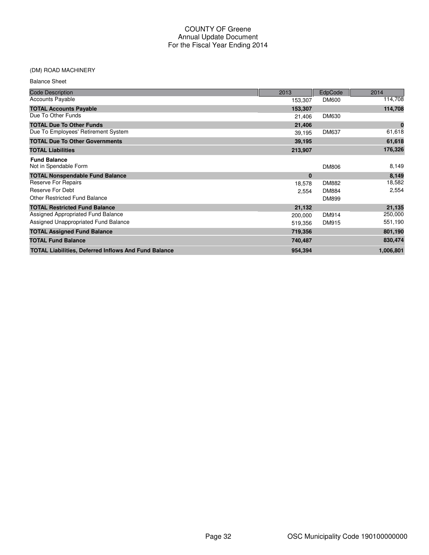#### (DM) ROAD MACHINERY

| <b>Balance Sheet</b>                                        |          |              |           |
|-------------------------------------------------------------|----------|--------------|-----------|
| <b>Code Description</b>                                     | 2013     | EdpCode      | 2014      |
| <b>Accounts Payable</b>                                     | 153,307  | <b>DM600</b> | 114,708   |
| <b>TOTAL Accounts Payable</b>                               | 153,307  |              | 114,708   |
| Due To Other Funds                                          | 21,406   | DM630        |           |
| <b>TOTAL Due To Other Funds</b>                             | 21,406   |              | $\bf{0}$  |
| Due To Employees' Retirement System                         | 39,195   | <b>DM637</b> | 61,618    |
| <b>TOTAL Due To Other Governments</b>                       | 39,195   |              | 61,618    |
| <b>TOTAL Liabilities</b>                                    | 213,907  |              | 176,326   |
| <b>Fund Balance</b><br>Not in Spendable Form                |          | <b>DM806</b> | 8,149     |
| <b>TOTAL Nonspendable Fund Balance</b>                      | $\bf{0}$ |              | 8,149     |
| <b>Reserve For Repairs</b>                                  | 18,578   | <b>DM882</b> | 18,582    |
| Reserve For Debt                                            | 2,554    | <b>DM884</b> | 2,554     |
| <b>Other Restricted Fund Balance</b>                        |          | DM899        |           |
| <b>TOTAL Restricted Fund Balance</b>                        | 21,132   |              | 21,135    |
| Assigned Appropriated Fund Balance                          | 200,000  | <b>DM914</b> | 250,000   |
| Assigned Unappropriated Fund Balance                        | 519,356  | DM915        | 551,190   |
| <b>TOTAL Assigned Fund Balance</b>                          | 719,356  |              | 801,190   |
| <b>TOTAL Fund Balance</b>                                   | 740,487  |              | 830,474   |
| <b>TOTAL Liabilities, Deferred Inflows And Fund Balance</b> | 954,394  |              | 1,006,801 |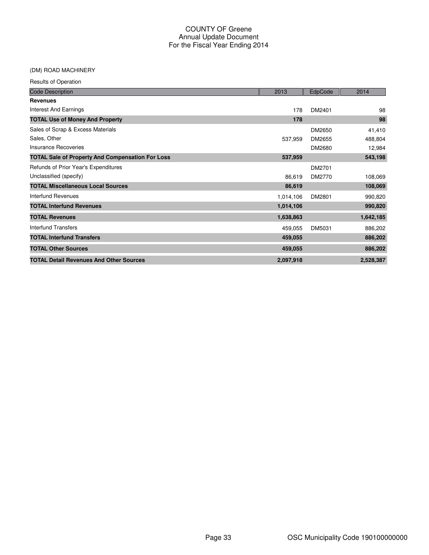# (DM) ROAD MACHINERY

| <b>Code Description</b>                                 | 2013      | EdpCode | 2014      |
|---------------------------------------------------------|-----------|---------|-----------|
| <b>Revenues</b>                                         |           |         |           |
| Interest And Earnings                                   | 178       | DM2401  | 98        |
| <b>TOTAL Use of Money And Property</b>                  | 178       |         | 98        |
| Sales of Scrap & Excess Materials                       |           | DM2650  | 41,410    |
| Sales, Other                                            | 537,959   | DM2655  | 488,804   |
| Insurance Recoveries                                    |           | DM2680  | 12,984    |
| <b>TOTAL Sale of Property And Compensation For Loss</b> | 537,959   |         | 543,198   |
| Refunds of Prior Year's Expenditures                    |           | DM2701  |           |
| Unclassified (specify)                                  | 86,619    | DM2770  | 108,069   |
| <b>TOTAL Miscellaneous Local Sources</b>                | 86,619    |         | 108,069   |
| Interfund Revenues                                      | 1,014,106 | DM2801  | 990,820   |
| <b>TOTAL Interfund Revenues</b>                         | 1,014,106 |         | 990,820   |
| <b>TOTAL Revenues</b>                                   | 1,638,863 |         | 1,642,185 |
| Interfund Transfers                                     | 459,055   | DM5031  | 886,202   |
| <b>TOTAL Interfund Transfers</b>                        | 459,055   |         | 886,202   |
| <b>TOTAL Other Sources</b>                              | 459,055   |         | 886,202   |
| <b>TOTAL Detail Revenues And Other Sources</b>          | 2,097,918 |         | 2,528,387 |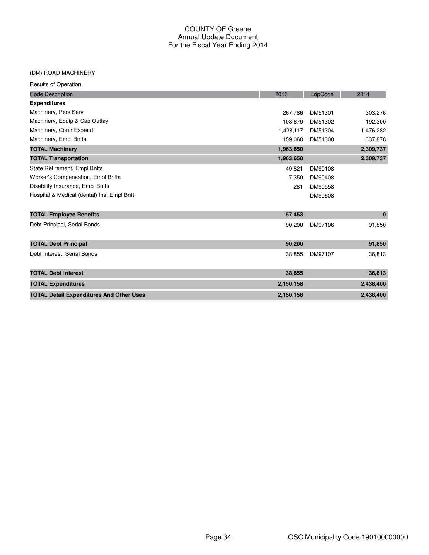#### (DM) ROAD MACHINERY

| <b>Code Description</b>                         | 2013      | EdpCode | 2014      |
|-------------------------------------------------|-----------|---------|-----------|
| <b>Expenditures</b>                             |           |         |           |
| Machinery, Pers Serv                            | 267,786   | DM51301 | 303,276   |
| Machinery, Equip & Cap Outlay                   | 108.679   | DM51302 | 192,300   |
| Machinery, Contr Expend                         | 1,428,117 | DM51304 | 1,476,282 |
| Machinery, Empl Bnfts                           | 159,068   | DM51308 | 337,878   |
| <b>TOTAL Machinery</b>                          | 1,963,650 |         | 2,309,737 |
| <b>TOTAL Transportation</b>                     | 1,963,650 |         | 2,309,737 |
| State Retirement, Empl Bnfts                    | 49,821    | DM90108 |           |
| Worker's Compensation, Empl Bnfts               | 7,350     | DM90408 |           |
| Disability Insurance, Empl Bnfts                | 281       | DM90558 |           |
| Hospital & Medical (dental) Ins, Empl Bnft      |           | DM90608 |           |
| <b>TOTAL Employee Benefits</b>                  | 57,453    |         | $\bf{0}$  |
| Debt Principal, Serial Bonds                    | 90,200    | DM97106 | 91,850    |
| <b>TOTAL Debt Principal</b>                     | 90,200    |         | 91,850    |
| Debt Interest, Serial Bonds                     | 38,855    | DM97107 | 36,813    |
| <b>TOTAL Debt Interest</b>                      | 38,855    |         | 36,813    |
| <b>TOTAL Expenditures</b>                       | 2,150,158 |         | 2,438,400 |
| <b>TOTAL Detail Expenditures And Other Uses</b> | 2,150,158 |         | 2,438,400 |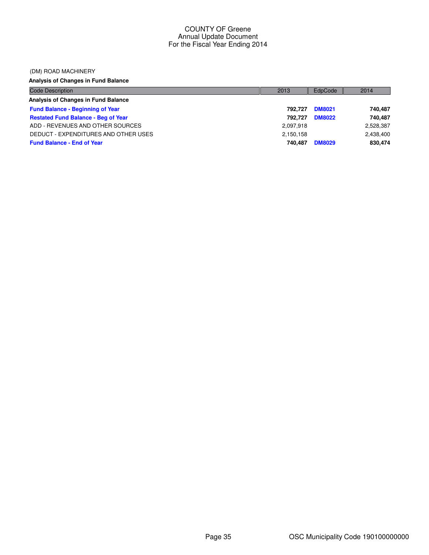#### (DM) ROAD MACHINERY

# **Analysis of Changes in Fund Balance**

| <b>Code Description</b>                    | 2013      | EdpCode       | 2014      |
|--------------------------------------------|-----------|---------------|-----------|
| Analysis of Changes in Fund Balance        |           |               |           |
| <b>Fund Balance - Beginning of Year</b>    | 792.727   | <b>DM8021</b> | 740,487   |
| <b>Restated Fund Balance - Beg of Year</b> | 792.727   | <b>DM8022</b> | 740.487   |
| ADD - REVENUES AND OTHER SOURCES           | 2,097,918 |               | 2,528,387 |
| DEDUCT - EXPENDITURES AND OTHER USES       | 2,150,158 |               | 2,438,400 |
| <b>Fund Balance - End of Year</b>          | 740.487   | <b>DM8029</b> | 830,474   |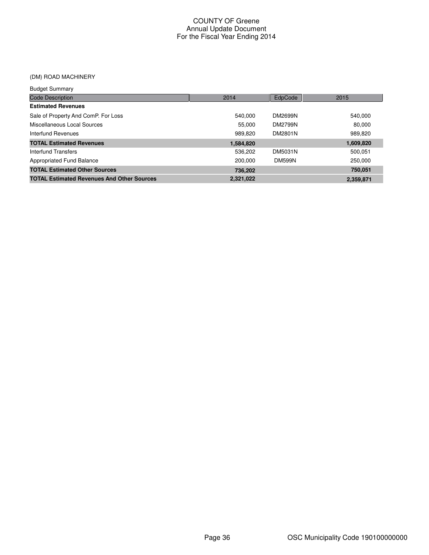# (DM) ROAD MACHINERY

| <b>Budget Summary</b>                             |           |                |           |
|---------------------------------------------------|-----------|----------------|-----------|
| <b>Code Description</b>                           | 2014      | EdpCode        | 2015      |
| <b>Estimated Revenues</b>                         |           |                |           |
| Sale of Property And ComP. For Loss               | 540.000   | DM2699N        | 540,000   |
| Miscellaneous Local Sources                       | 55,000    | <b>DM2799N</b> | 80.000    |
| Interfund Revenues                                | 989.820   | DM2801N        | 989.820   |
| <b>TOTAL Estimated Revenues</b>                   | 1,584,820 |                | 1,609,820 |
| Interfund Transfers                               | 536,202   | DM5031N        | 500.051   |
| Appropriated Fund Balance                         | 200.000   | <b>DM599N</b>  | 250,000   |
| <b>TOTAL Estimated Other Sources</b>              | 736.202   |                | 750,051   |
| <b>TOTAL Estimated Revenues And Other Sources</b> | 2,321,022 |                | 2,359,871 |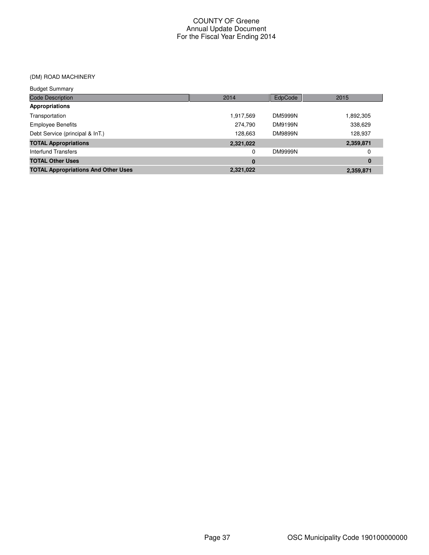# (DM) ROAD MACHINERY

| <b>Budget Summary</b>                      |           |                |           |
|--------------------------------------------|-----------|----------------|-----------|
| <b>Code Description</b>                    | 2014      | EdpCode        | 2015      |
| Appropriations                             |           |                |           |
| Transportation                             | 1,917,569 | <b>DM5999N</b> | 1,892,305 |
| <b>Employee Benefits</b>                   | 274,790   | <b>DM9199N</b> | 338,629   |
| Debt Service (principal & InT.)            | 128.663   | <b>DM9899N</b> | 128,937   |
| <b>TOTAL Appropriations</b>                | 2,321,022 |                | 2,359,871 |
| Interfund Transfers                        | 0         | <b>DM9999N</b> | 0         |
| <b>TOTAL Other Uses</b>                    | $\bf{0}$  |                | $\bf{0}$  |
| <b>TOTAL Appropriations And Other Uses</b> | 2,321,022 |                | 2,359,871 |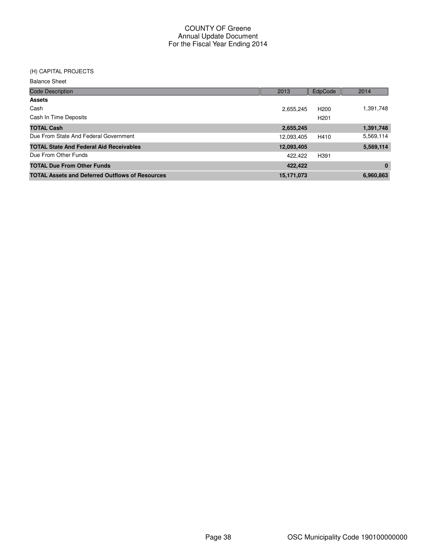# (H) CAPITAL PROJECTS

| <u>(II) UAFIIAL FRUJLUIJ</u>                           |            |                  |           |
|--------------------------------------------------------|------------|------------------|-----------|
| <b>Balance Sheet</b>                                   |            |                  |           |
| <b>Code Description</b>                                | 2013       | EdpCode          | 2014      |
| <b>Assets</b>                                          |            |                  |           |
| Cash                                                   | 2,655,245  | H <sub>200</sub> | 1,391,748 |
| Cash In Time Deposits                                  |            | H <sub>201</sub> |           |
| <b>TOTAL Cash</b>                                      | 2,655,245  |                  | 1,391,748 |
| Due From State And Federal Government                  | 12,093,405 | H410             | 5,569,114 |
| <b>TOTAL State And Federal Aid Receivables</b>         | 12,093,405 |                  | 5,569,114 |
| Due From Other Funds                                   | 422,422    | H391             |           |
| <b>TOTAL Due From Other Funds</b>                      | 422,422    |                  | $\bf{0}$  |
| <b>TOTAL Assets and Deferred Outflows of Resources</b> | 15,171,073 |                  | 6,960,863 |
|                                                        |            |                  |           |
|                                                        |            |                  |           |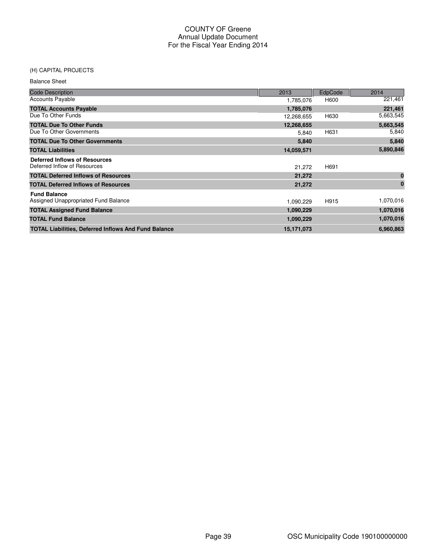# (H) CAPITAL PROJECTS

| <b>Balance Sheet</b> |  |
|----------------------|--|
|----------------------|--|

| <b>Code Description</b>                                     | 2013       | EdpCode | 2014      |
|-------------------------------------------------------------|------------|---------|-----------|
| <b>Accounts Payable</b>                                     | 1,785,076  | H600    | 221,461   |
| <b>TOTAL Accounts Payable</b>                               | 1,785,076  |         | 221,461   |
| Due To Other Funds                                          | 12,268,655 | H630    | 5,663,545 |
| <b>TOTAL Due To Other Funds</b>                             | 12,268,655 |         | 5,663,545 |
| Due To Other Governments                                    | 5,840      | H631    | 5,840     |
| <b>TOTAL Due To Other Governments</b>                       | 5,840      |         | 5,840     |
| <b>TOTAL Liabilities</b>                                    | 14,059,571 |         | 5,890,846 |
| <b>Deferred Inflows of Resources</b>                        |            |         |           |
| Deferred Inflow of Resources                                | 21,272     | H691    |           |
| <b>TOTAL Deferred Inflows of Resources</b>                  | 21,272     |         | $\bf{0}$  |
| <b>TOTAL Deferred Inflows of Resources</b>                  | 21,272     |         | $\bf{0}$  |
| <b>Fund Balance</b>                                         |            |         |           |
| Assigned Unappropriated Fund Balance                        | 1,090,229  | H915    | 1,070,016 |
| <b>TOTAL Assigned Fund Balance</b>                          | 1,090,229  |         | 1,070,016 |
| <b>TOTAL Fund Balance</b>                                   | 1,090,229  |         | 1,070,016 |
| <b>TOTAL Liabilities, Deferred Inflows And Fund Balance</b> | 15,171,073 |         | 6,960,863 |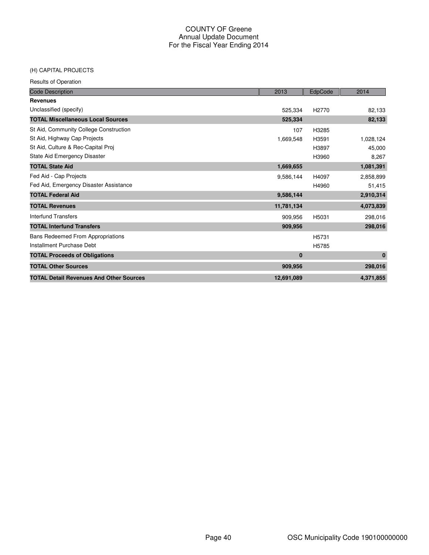# (H) CAPITAL PROJECTS

Results of Operation

| <b>Code Description</b>                        | 2013       | EdpCode           | 2014      |
|------------------------------------------------|------------|-------------------|-----------|
| <b>Revenues</b>                                |            |                   |           |
| Unclassified (specify)                         | 525,334    | H <sub>2770</sub> | 82,133    |
| <b>TOTAL Miscellaneous Local Sources</b>       | 525,334    |                   | 82,133    |
| St Aid, Community College Construction         | 107        | H3285             |           |
| St Aid, Highway Cap Projects                   | 1,669,548  | H3591             | 1,028,124 |
| St Aid, Culture & Rec-Capital Proj             |            | H3897             | 45,000    |
| State Aid Emergency Disaster                   |            | H3960             | 8,267     |
| <b>TOTAL State Aid</b>                         | 1,669,655  |                   | 1,081,391 |
| Fed Aid - Cap Projects                         | 9,586,144  | H4097             | 2,858,899 |
| Fed Aid, Emergency Disaster Assistance         |            | H4960             | 51,415    |
| <b>TOTAL Federal Aid</b>                       | 9,586,144  |                   | 2,910,314 |
| <b>TOTAL Revenues</b>                          | 11,781,134 |                   | 4,073,839 |
| <b>Interfund Transfers</b>                     | 909.956    | H5031             | 298,016   |
| <b>TOTAL Interfund Transfers</b>               | 909,956    |                   | 298,016   |
| <b>Bans Redeemed From Appropriations</b>       |            | H5731             |           |
| Installment Purchase Debt                      |            | H5785             |           |
| <b>TOTAL Proceeds of Obligations</b>           | $\bf{0}$   |                   | $\bf{0}$  |
| <b>TOTAL Other Sources</b>                     | 909,956    |                   | 298,016   |
| <b>TOTAL Detail Revenues And Other Sources</b> | 12,691,089 |                   | 4,371,855 |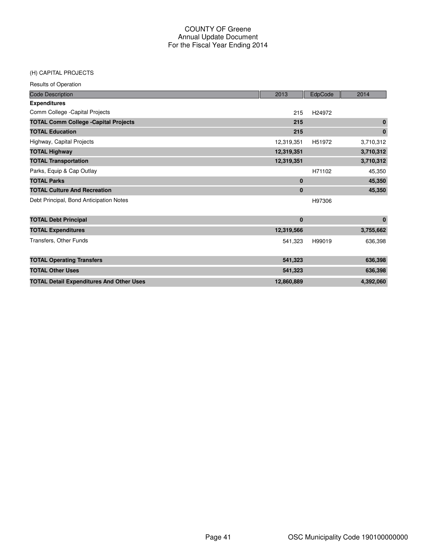#### (H) CAPITAL PROJECTS

Results of Operation

| <b>Code Description</b>                         | 2013        | EdpCode | 2014      |
|-------------------------------------------------|-------------|---------|-----------|
| <b>Expenditures</b>                             |             |         |           |
| Comm College - Capital Projects                 | 215         | H24972  |           |
| <b>TOTAL Comm College - Capital Projects</b>    | 215         |         | $\bf{0}$  |
| <b>TOTAL Education</b>                          | 215         |         | $\bf{0}$  |
| Highway, Capital Projects                       | 12,319,351  | H51972  | 3,710,312 |
| <b>TOTAL Highway</b>                            | 12,319,351  |         | 3,710,312 |
| <b>TOTAL Transportation</b>                     | 12,319,351  |         | 3,710,312 |
| Parks, Equip & Cap Outlay                       |             | H71102  | 45,350    |
| <b>TOTAL Parks</b>                              | $\mathbf 0$ |         | 45,350    |
| <b>TOTAL Culture And Recreation</b>             | $\bf{0}$    |         | 45,350    |
| Debt Principal, Bond Anticipation Notes         |             | H97306  |           |
| <b>TOTAL Debt Principal</b>                     | $\bf{0}$    |         | $\bf{0}$  |
| <b>TOTAL Expenditures</b>                       | 12,319,566  |         | 3,755,662 |
| Transfers, Other Funds                          | 541,323     | H99019  | 636,398   |
| <b>TOTAL Operating Transfers</b>                | 541,323     |         | 636,398   |
| <b>TOTAL Other Uses</b>                         | 541,323     |         | 636,398   |
| <b>TOTAL Detail Expenditures And Other Uses</b> | 12,860,889  |         | 4,392,060 |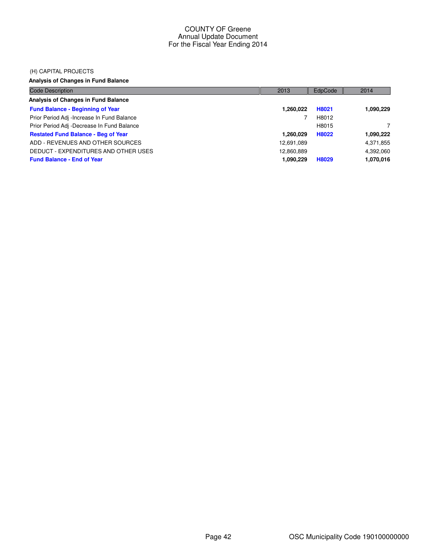### (H) CAPITAL PROJECTS

# **Analysis of Changes in Fund Balance**

| <b>Code Description</b>                    | 2013       | EdpCode | 2014      |
|--------------------------------------------|------------|---------|-----------|
| Analysis of Changes in Fund Balance        |            |         |           |
| <b>Fund Balance - Beginning of Year</b>    | 1,260,022  | H8021   | 1,090,229 |
| Prior Period Adj -Increase In Fund Balance |            | H8012   |           |
| Prior Period Adj -Decrease In Fund Balance |            | H8015   |           |
| <b>Restated Fund Balance - Beg of Year</b> | 1,260,029  | H8022   | 1,090,222 |
| ADD - REVENUES AND OTHER SOURCES           | 12,691,089 |         | 4,371,855 |
| DEDUCT - EXPENDITURES AND OTHER USES       | 12,860,889 |         | 4,392,060 |
| <b>Fund Balance - End of Year</b>          | 1,090,229  | H8029   | 1,070,016 |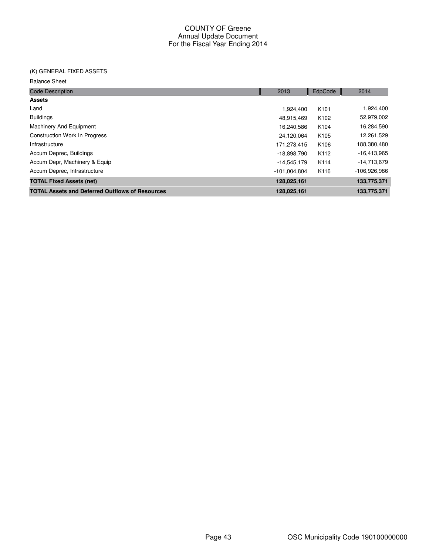# (K) GENERAL FIXED ASSETS

#### Balance Sheet

| <b>Code Description</b>                                | 2013           | EdpCode          | 2014          |
|--------------------------------------------------------|----------------|------------------|---------------|
| <b>Assets</b>                                          |                |                  |               |
| Land                                                   | 1.924.400      | K <sub>101</sub> | 1,924,400     |
| <b>Buildings</b>                                       | 48,915,469     | K <sub>102</sub> | 52,979,002    |
| Machinery And Equipment                                | 16.240.586     | K <sub>104</sub> | 16,284,590    |
| <b>Construction Work In Progress</b>                   | 24,120,064     | K <sub>105</sub> | 12,261,529    |
| Infrastructure                                         | 171,273,415    | K106             | 188,380,480   |
| Accum Deprec, Buildings                                | -18,898,790    | K <sub>112</sub> | $-16,413,965$ |
| Accum Depr, Machinery & Equip                          | $-14,545,179$  | K114             | -14,713,679   |
| Accum Deprec, Infrastructure                           | $-101.004.804$ | K116             | -106,926,986  |
| <b>TOTAL Fixed Assets (net)</b>                        | 128,025,161    |                  | 133,775,371   |
| <b>TOTAL Assets and Deferred Outflows of Resources</b> | 128,025,161    |                  | 133.775.371   |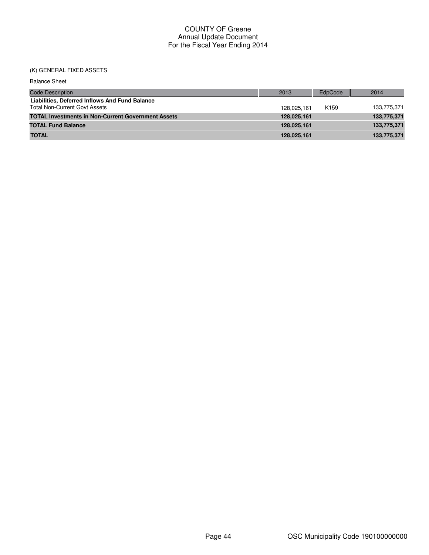# (K) GENERAL FIXED ASSETS

| <b>Balance Sheet</b>                                                                   |             |                  |             |
|----------------------------------------------------------------------------------------|-------------|------------------|-------------|
| <b>Code Description</b>                                                                | 2013        | EdpCode          | 2014        |
| Liabilities, Deferred Inflows And Fund Balance<br><b>Total Non-Current Govt Assets</b> | 128.025.161 | K <sub>159</sub> | 133,775,371 |
| <b>TOTAL Investments in Non-Current Government Assets</b>                              | 128,025,161 |                  | 133,775,371 |
| <b>TOTAL Fund Balance</b>                                                              | 128,025,161 |                  | 133,775,371 |
| <b>TOTAL</b>                                                                           | 128,025,161 |                  | 133,775,371 |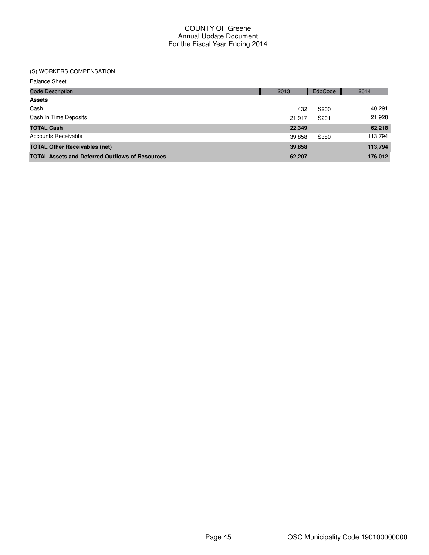# (S) WORKERS COMPENSATION

Balance Sheet

| <b>Code Description</b>                                | 2013   | EdpCode          | 2014    |
|--------------------------------------------------------|--------|------------------|---------|
| <b>Assets</b>                                          |        |                  |         |
| Cash                                                   | 432    | S <sub>200</sub> | 40,291  |
| Cash In Time Deposits                                  | 21,917 | S201             | 21,928  |
| <b>TOTAL Cash</b>                                      | 22,349 |                  | 62,218  |
| Accounts Receivable                                    | 39,858 | S380             | 113,794 |
| <b>TOTAL Other Receivables (net)</b>                   | 39,858 |                  | 113,794 |
| <b>TOTAL Assets and Deferred Outflows of Resources</b> | 62,207 |                  | 176,012 |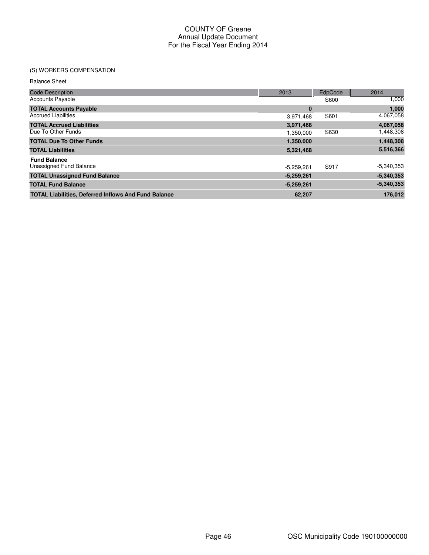# (S) WORKERS COMPENSATION

Balance Sheet

| <b>Code Description</b>                                     | 2013         | EdpCode | 2014         |
|-------------------------------------------------------------|--------------|---------|--------------|
| <b>Accounts Payable</b>                                     |              | S600    | 1,000        |
| <b>TOTAL Accounts Payable</b>                               | $\bf{0}$     |         | 1,000        |
| <b>Accrued Liabilities</b>                                  | 3,971,468    | S601    | 4,067,058    |
| <b>TOTAL Accrued Liabilities</b>                            | 3,971,468    |         | 4,067,058    |
| Due To Other Funds                                          | 1,350,000    | S630    | 1,448,308    |
| <b>TOTAL Due To Other Funds</b>                             | 1,350,000    |         | 1,448,308    |
| <b>TOTAL Liabilities</b>                                    | 5,321,468    |         | 5,516,366    |
| <b>Fund Balance</b>                                         |              |         |              |
| Unassigned Fund Balance                                     | $-5,259,261$ | S917    | $-5,340,353$ |
| <b>TOTAL Unassigned Fund Balance</b>                        | $-5,259,261$ |         | $-5,340,353$ |
| <b>TOTAL Fund Balance</b>                                   | $-5,259,261$ |         | $-5,340,353$ |
| <b>TOTAL Liabilities, Deferred Inflows And Fund Balance</b> | 62,207       |         | 176.012      |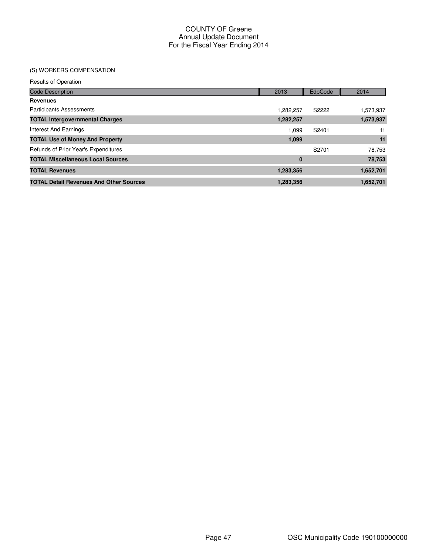# (S) WORKERS COMPENSATION

| <b>Results of Operation</b>                    |           |         |           |
|------------------------------------------------|-----------|---------|-----------|
| <b>Code Description</b>                        | 2013      | EdpCode | 2014      |
| <b>Revenues</b>                                |           |         |           |
| <b>Participants Assessments</b>                | 1,282,257 | S2222   | 1,573,937 |
| <b>TOTAL Intergovernmental Charges</b>         | 1,282,257 |         | 1,573,937 |
| Interest And Earnings                          | 1.099     | S2401   | 11        |
| <b>TOTAL Use of Money And Property</b>         | 1,099     |         | 11        |
| Refunds of Prior Year's Expenditures           |           | S2701   | 78,753    |
| <b>TOTAL Miscellaneous Local Sources</b>       | $\bf{0}$  |         | 78,753    |
| <b>TOTAL Revenues</b>                          | 1,283,356 |         | 1,652,701 |
| <b>TOTAL Detail Revenues And Other Sources</b> | 1,283,356 |         | 1,652,701 |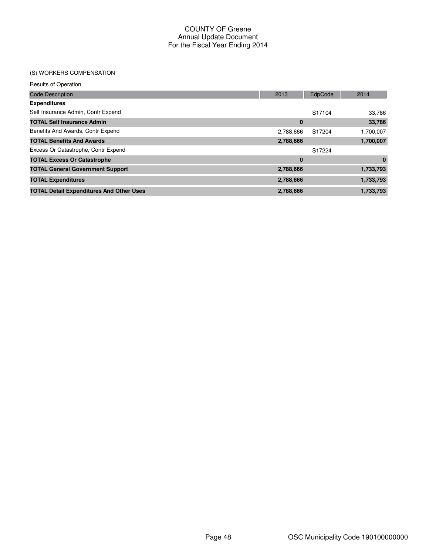# (S) WORKERS COMPENSATION

Results of Operation

| <b>Code Description</b>                         | 2013      | EdpCode  | 2014      |
|-------------------------------------------------|-----------|----------|-----------|
| <b>Expenditures</b>                             |           |          |           |
| Self Insurance Admin, Contr Expend              |           | S17104   | 33,786    |
| <b>TOTAL Self Insurance Admin</b>               |           | $\bf{0}$ | 33,786    |
| Benefits And Awards, Contr Expend               | 2,788,666 | S17204   | 1,700,007 |
| <b>TOTAL Benefits And Awards</b>                | 2,788,666 |          | 1,700,007 |
| Excess Or Catastrophe, Contr Expend             |           | S17224   |           |
| <b>TOTAL Excess Or Catastrophe</b>              |           | $\bf{0}$ | $\bf{0}$  |
| <b>TOTAL General Government Support</b>         | 2,788,666 |          | 1,733,793 |
| <b>TOTAL Expenditures</b>                       | 2,788,666 |          | 1,733,793 |
| <b>TOTAL Detail Expenditures And Other Uses</b> | 2,788,666 |          | 1,733,793 |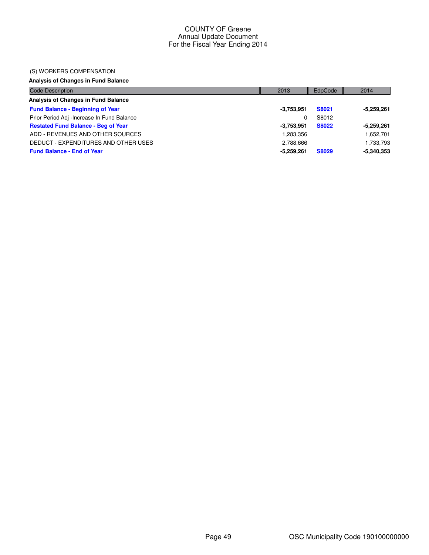#### (S) WORKERS COMPENSATION

# **Analysis of Changes in Fund Balance**

| <b>Code Description</b>                    | 2013         | EdpCode      | 2014         |
|--------------------------------------------|--------------|--------------|--------------|
| Analysis of Changes in Fund Balance        |              |              |              |
| <b>Fund Balance - Beginning of Year</b>    | $-3,753,951$ | <b>S8021</b> | $-5,259,261$ |
| Prior Period Adj -Increase In Fund Balance |              | S8012        |              |
| <b>Restated Fund Balance - Beg of Year</b> | $-3,753,951$ | <b>S8022</b> | $-5,259,261$ |
| ADD - REVENUES AND OTHER SOURCES           | 1,283,356    |              | 1,652,701    |
| DEDUCT - EXPENDITURES AND OTHER USES       | 2,788,666    |              | 1,733,793    |
| <b>Fund Balance - End of Year</b>          | $-5,259,261$ | <b>S8029</b> | $-5,340,353$ |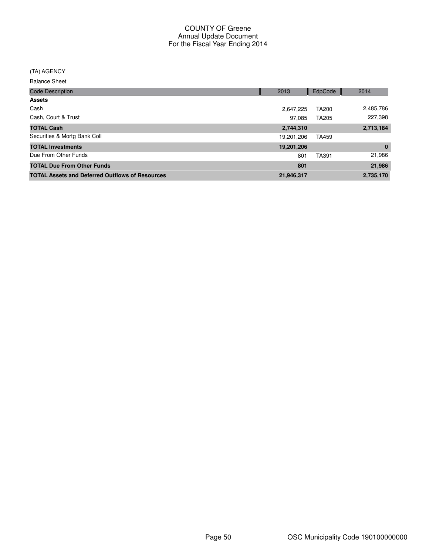#### (TA) AGENCY

Balance Sheet

| <b>Code Description</b>                                | 2013       | EdpCode | 2014      |
|--------------------------------------------------------|------------|---------|-----------|
| <b>Assets</b>                                          |            |         |           |
| Cash                                                   | 2,647,225  | TA200   | 2,485,786 |
| Cash, Court & Trust                                    | 97,085     | TA205   | 227,398   |
| <b>TOTAL Cash</b>                                      | 2,744,310  |         | 2,713,184 |
| Securities & Mortg Bank Coll                           | 19,201,206 | TA459   |           |
| <b>TOTAL Investments</b>                               | 19,201,206 |         | $\bf{0}$  |
| Due From Other Funds                                   | 801        | TA391   | 21,986    |
| <b>TOTAL Due From Other Funds</b>                      | 801        |         | 21,986    |
| <b>TOTAL Assets and Deferred Outflows of Resources</b> | 21,946,317 |         | 2,735,170 |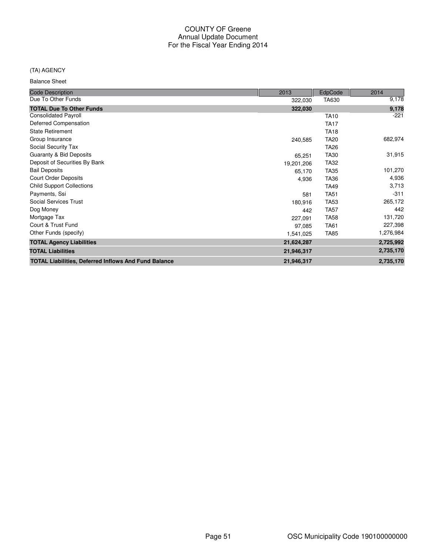# (TA) AGENCY

Balance Sheet

| <b>Code Description</b>                                     | 2013       | EdpCode          | 2014      |
|-------------------------------------------------------------|------------|------------------|-----------|
| Due To Other Funds                                          | 322,030    | TA630            | 9,178     |
| <b>TOTAL Due To Other Funds</b>                             | 322,030    |                  | 9,178     |
| <b>Consolidated Payroll</b>                                 |            | <b>TA10</b>      | $-221$    |
| Deferred Compensation                                       |            | <b>TA17</b>      |           |
| <b>State Retirement</b>                                     |            | <b>TA18</b>      |           |
| Group Insurance                                             | 240,585    | <b>TA20</b>      | 682,974   |
| Social Security Tax                                         |            | TA <sub>26</sub> |           |
| Guaranty & Bid Deposits                                     | 65,251     | <b>TA30</b>      | 31,915    |
| Deposit of Securities By Bank                               | 19,201,206 | <b>TA32</b>      |           |
| <b>Bail Deposits</b>                                        | 65,170     | <b>TA35</b>      | 101,270   |
| <b>Court Order Deposits</b>                                 | 4,936      | <b>TA36</b>      | 4,936     |
| <b>Child Support Collections</b>                            |            | <b>TA49</b>      | 3,713     |
| Payments, Ssi                                               | 581        | <b>TA51</b>      | $-311$    |
| <b>Social Services Trust</b>                                | 180,916    | <b>TA53</b>      | 265,172   |
| Dog Money                                                   | 442        | <b>TA57</b>      | 442       |
| Mortgage Tax                                                | 227,091    | <b>TA58</b>      | 131,720   |
| Court & Trust Fund                                          | 97,085     | <b>TA61</b>      | 227,398   |
| Other Funds (specify)                                       | 1,541,025  | <b>TA85</b>      | 1,276,984 |
| <b>TOTAL Agency Liabilities</b>                             | 21,624,287 |                  | 2,725,992 |
| <b>TOTAL Liabilities</b>                                    | 21,946,317 |                  | 2,735,170 |
| <b>TOTAL Liabilities, Deferred Inflows And Fund Balance</b> | 21,946,317 |                  | 2,735,170 |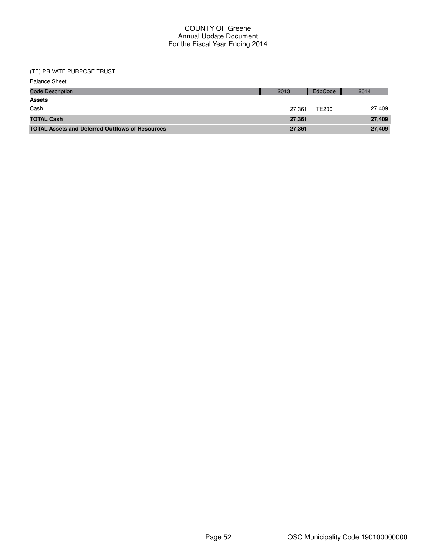| <b>Balance Sheet</b>                                   |        |              |        |
|--------------------------------------------------------|--------|--------------|--------|
| <b>Code Description</b>                                | 2013   | EdpCode      | 2014   |
| <b>Assets</b>                                          |        |              |        |
| Cash                                                   | 27,361 | <b>TE200</b> | 27,409 |
| <b>TOTAL Cash</b>                                      | 27,361 |              | 27,409 |
| <b>TOTAL Assets and Deferred Outflows of Resources</b> | 27,361 |              | 27,409 |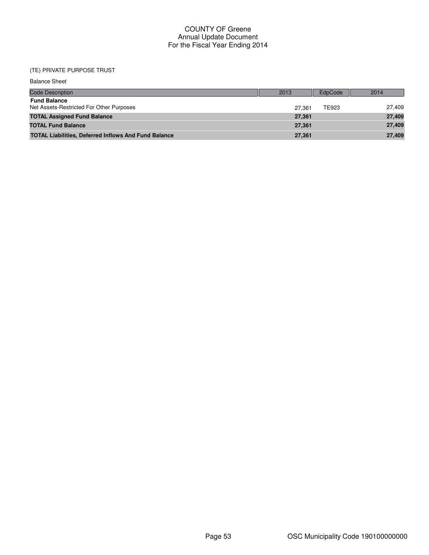| <b>Balance Sheet</b>                                            |        |         |        |
|-----------------------------------------------------------------|--------|---------|--------|
| <b>Code Description</b>                                         | 2013   | EdpCode | 2014   |
| <b>Fund Balance</b><br>Net Assets-Restricted For Other Purposes | 27.361 | TE923   | 27,409 |
| <b>TOTAL Assigned Fund Balance</b>                              | 27,361 |         | 27,409 |
| <b>TOTAL Fund Balance</b>                                       | 27,361 |         | 27,409 |
| <b>TOTAL Liabilities, Deferred Inflows And Fund Balance</b>     | 27,361 |         | 27,409 |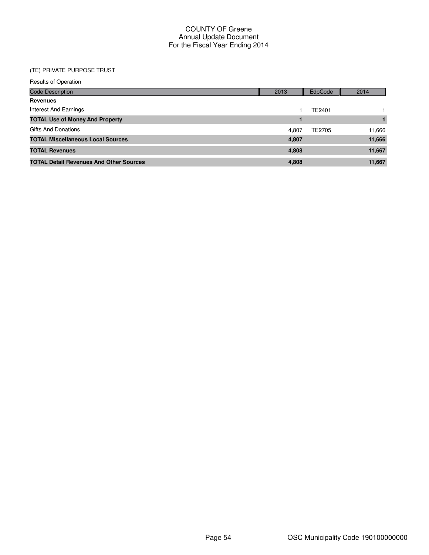| <b>Results of Operation</b>                    |       |         |        |
|------------------------------------------------|-------|---------|--------|
| Code Description                               | 2013  | EdpCode | 2014   |
| <b>Revenues</b>                                |       |         |        |
| Interest And Earnings                          |       | TE2401  |        |
| <b>TOTAL Use of Money And Property</b>         |       | 1       |        |
| <b>Gifts And Donations</b>                     | 4.807 | TE2705  | 11,666 |
| <b>TOTAL Miscellaneous Local Sources</b>       | 4,807 |         | 11,666 |
| <b>TOTAL Revenues</b>                          | 4,808 |         | 11,667 |
| <b>TOTAL Detail Revenues And Other Sources</b> | 4,808 |         | 11,667 |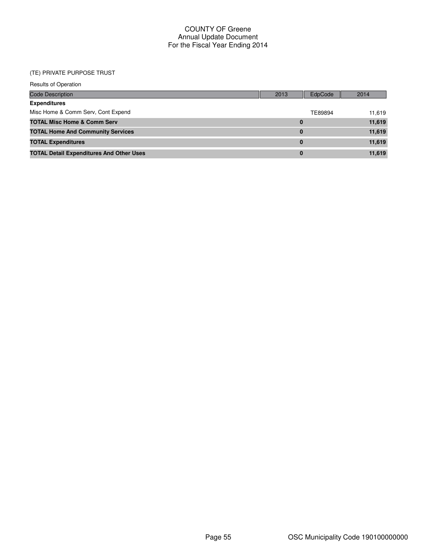| <b>Results of Operation</b>                     |          |         |        |
|-------------------------------------------------|----------|---------|--------|
| <b>Code Description</b>                         | 2013     | EdpCode | 2014   |
| <b>Expenditures</b>                             |          |         |        |
| Misc Home & Comm Serv, Cont Expend              |          | TE89894 | 11.619 |
| <b>TOTAL Misc Home &amp; Comm Serv</b>          | $\bf{0}$ |         | 11,619 |
| <b>TOTAL Home And Community Services</b>        | $\bf{0}$ |         | 11,619 |
| <b>TOTAL Expenditures</b>                       | $\bf{0}$ |         | 11,619 |
| <b>TOTAL Detail Expenditures And Other Uses</b> | 0        |         | 11,619 |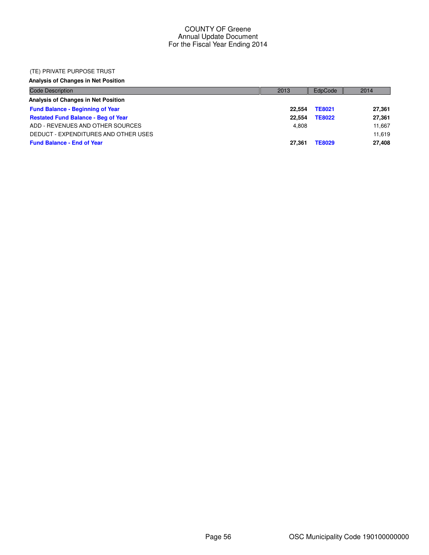### (TE) PRIVATE PURPOSE TRUST

# **Analysis of Changes in Net Position**

| <b>Code Description</b>                    | 2013   | EdpCode       | 2014   |
|--------------------------------------------|--------|---------------|--------|
| Analysis of Changes in Net Position        |        |               |        |
| <b>Fund Balance - Beginning of Year</b>    | 22.554 | <b>TE8021</b> | 27,361 |
| <b>Restated Fund Balance - Beg of Year</b> | 22.554 | <b>TE8022</b> | 27,361 |
| ADD - REVENUES AND OTHER SOURCES           | 4.808  |               | 11,667 |
| DEDUCT - EXPENDITURES AND OTHER USES       |        |               | 11,619 |
| <b>Fund Balance - End of Year</b>          | 27.361 | <b>TE8029</b> | 27,408 |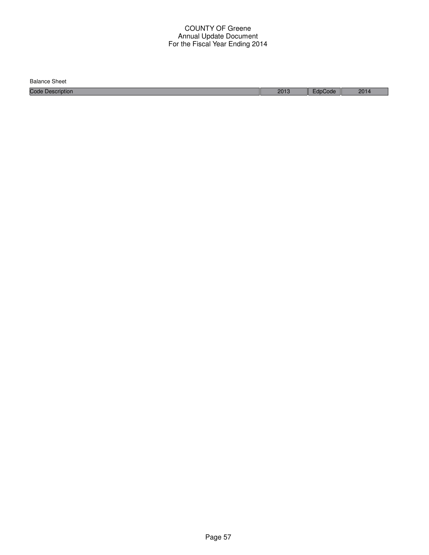Balance Sheet

Code Description 2013 EdpCode 2014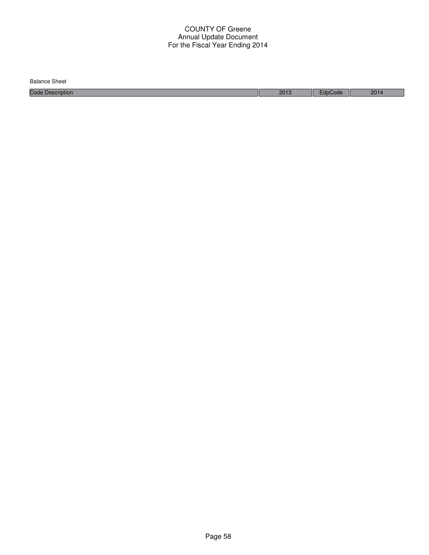| <b>Balance Sheet</b>    |      |      |      |
|-------------------------|------|------|------|
| <b>Code Description</b> | 2013 | Code | 2014 |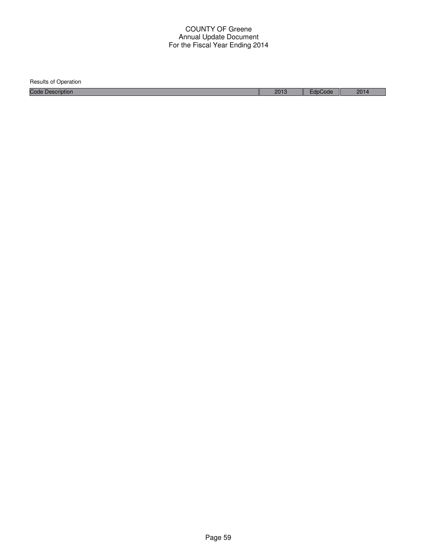| <b>Results of Operation</b> |      |         |      |
|-----------------------------|------|---------|------|
| <b>Code Description</b>     | 2013 | EdpCode | 2014 |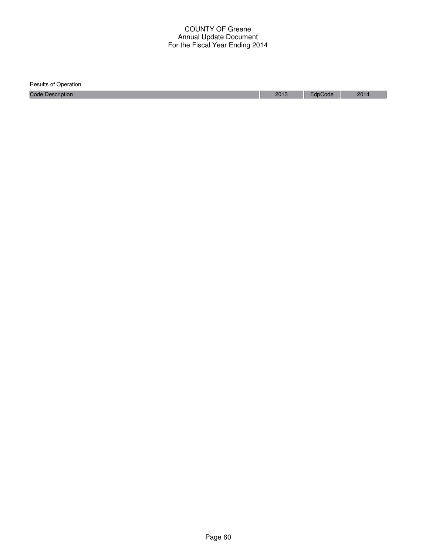| Results of Operation    |      |         |      |
|-------------------------|------|---------|------|
| <b>Code Description</b> | 2013 | EdpCode | 2014 |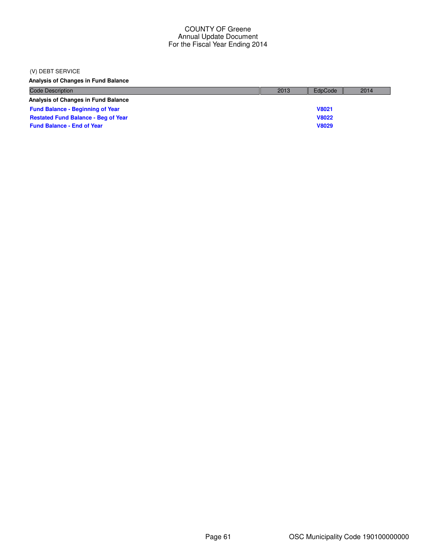### (V) DEBT SERVICE

**Analysis of Changes in Fund Balance**

| <b>Code Description</b>                    | 2013 | EdpCode      | 2014 |
|--------------------------------------------|------|--------------|------|
| Analysis of Changes in Fund Balance        |      |              |      |
| <b>Fund Balance - Beginning of Year</b>    |      | <b>V8021</b> |      |
| <b>Restated Fund Balance - Beg of Year</b> |      | <b>V8022</b> |      |
| <b>Fund Balance - End of Year</b>          |      | <b>V8029</b> |      |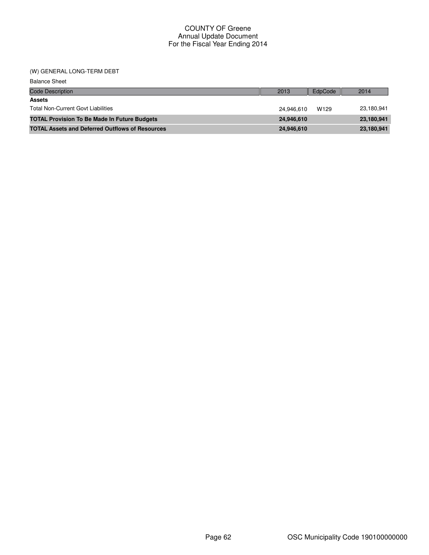## (W) GENERAL LONG-TERM DEBT

| <b>Balance Sheet</b>                                   |            |                  |            |
|--------------------------------------------------------|------------|------------------|------------|
| <b>Code Description</b>                                | 2013       | EdpCode          | 2014       |
| <b>Assets</b>                                          |            |                  |            |
| <b>Total Non-Current Govt Liabilities</b>              | 24.946.610 | W <sub>129</sub> | 23,180,941 |
| <b>TOTAL Provision To Be Made In Future Budgets</b>    | 24,946,610 |                  | 23,180,941 |
| <b>TOTAL Assets and Deferred Outflows of Resources</b> | 24,946,610 |                  | 23,180,941 |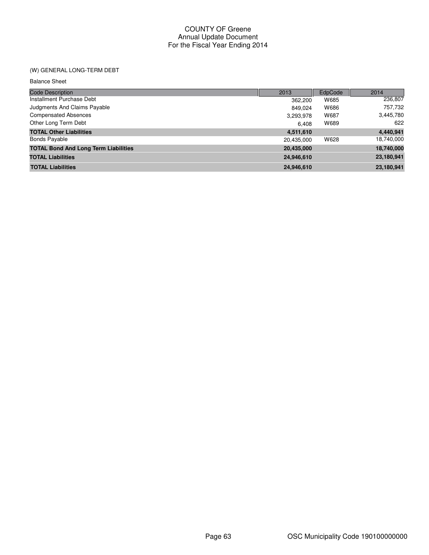# (W) GENERAL LONG-TERM DEBT

Balance Sheet

| <b>Code Description</b>                     | 2013       | EdpCode | 2014       |
|---------------------------------------------|------------|---------|------------|
| Installment Purchase Debt                   | 362,200    | W685    | 236,807    |
| Judgments And Claims Payable                | 849.024    | W686    | 757,732    |
| <b>Compensated Absences</b>                 | 3,293,978  | W687    | 3,445,780  |
| Other Long Term Debt                        | 6.408      | W689    | 622        |
| <b>TOTAL Other Liabilities</b>              | 4,511,610  |         | 4,440,941  |
| <b>Bonds Payable</b>                        | 20,435,000 | W628    | 18,740,000 |
| <b>TOTAL Bond And Long Term Liabilities</b> | 20,435,000 |         | 18,740,000 |
| <b>TOTAL Liabilities</b>                    | 24,946,610 |         | 23,180,941 |
| <b>TOTAL Liabilities</b>                    | 24,946,610 |         | 23,180,941 |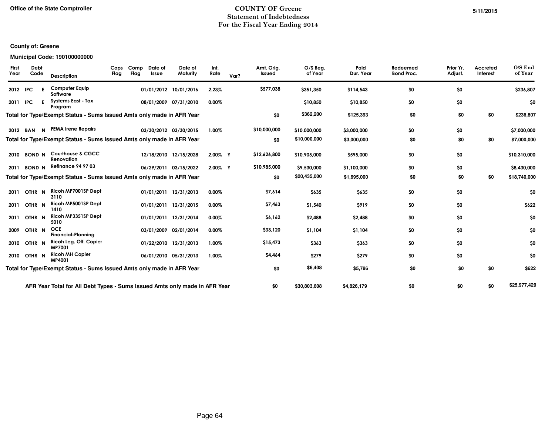# COUNTY OF GreeneStatement of IndebtednessFor the Fiscal Year Ending 2014

#### **County of: Greene**

# **Municipal Code: 190100000000**

|            | <b>Description</b>                                                                                                                                                            | Cops<br>Flag         |  |              | Date of<br>Maturity            | Int.<br>Rate                                                                                                                                                                                                                                                                                                                                                                                                                                                                                                                                                             | Var? | Amt. Orig.<br>Issued                                                                             | $O/S$ Beg.<br>of Year | Paid<br>Dur. Year | Redeemed<br><b>Bond Proc.</b> | Prior Yr.<br>Adjust. | Accreted<br>Interest | O/S End<br>of Year |
|------------|-------------------------------------------------------------------------------------------------------------------------------------------------------------------------------|----------------------|--|--------------|--------------------------------|--------------------------------------------------------------------------------------------------------------------------------------------------------------------------------------------------------------------------------------------------------------------------------------------------------------------------------------------------------------------------------------------------------------------------------------------------------------------------------------------------------------------------------------------------------------------------|------|--------------------------------------------------------------------------------------------------|-----------------------|-------------------|-------------------------------|----------------------|----------------------|--------------------|
| 2012 IPC   | <b>Computer Equip</b><br>Software                                                                                                                                             |                      |  |              |                                | 2.23%                                                                                                                                                                                                                                                                                                                                                                                                                                                                                                                                                                    |      | \$577,038                                                                                        | \$351,350             | \$114,543         | \$0                           | \$0                  |                      | \$236,807          |
| <b>IPC</b> | <b>Systems East - Tax</b><br>Program                                                                                                                                          |                      |  |              |                                | $0.00\%$                                                                                                                                                                                                                                                                                                                                                                                                                                                                                                                                                                 |      |                                                                                                  | \$10,850              | \$10,850          | \$0                           | \$0                  |                      | \$0                |
|            |                                                                                                                                                                               |                      |  |              |                                |                                                                                                                                                                                                                                                                                                                                                                                                                                                                                                                                                                          |      | \$0                                                                                              | \$362,200             | \$125,393         | \$0                           | \$0                  | \$0                  | \$236,807          |
|            |                                                                                                                                                                               |                      |  |              |                                | 1.00%                                                                                                                                                                                                                                                                                                                                                                                                                                                                                                                                                                    |      | \$10,000,000                                                                                     | \$10,000,000          | \$3,000,000       | \$0                           | \$0                  |                      | \$7,000,000        |
|            |                                                                                                                                                                               |                      |  |              |                                |                                                                                                                                                                                                                                                                                                                                                                                                                                                                                                                                                                          |      | \$0                                                                                              | \$10,000,000          | \$3,000,000       | \$0                           | \$0                  | \$0                  | \$7,000,000        |
|            | <b>Courthouse &amp; CGCC</b><br>Renovation                                                                                                                                    |                      |  |              |                                |                                                                                                                                                                                                                                                                                                                                                                                                                                                                                                                                                                          |      | \$12,626,800                                                                                     | \$10,905,000          | \$595,000         | \$0                           | \$0                  |                      | \$10,310,000       |
|            | <b>Refinance 94 97 03</b>                                                                                                                                                     |                      |  |              |                                |                                                                                                                                                                                                                                                                                                                                                                                                                                                                                                                                                                          |      | \$10,985,000                                                                                     | \$9,530,000           | \$1,100,000       | \$0                           | \$0                  |                      | \$8,430,000        |
|            |                                                                                                                                                                               |                      |  |              |                                |                                                                                                                                                                                                                                                                                                                                                                                                                                                                                                                                                                          |      | \$0                                                                                              | \$20,435,000          | \$1,695,000       | \$0                           | \$0                  | \$0                  | \$18,740,000       |
|            | Ricoh MP7001SP Dept<br>3110                                                                                                                                                   |                      |  |              |                                | 0.00%                                                                                                                                                                                                                                                                                                                                                                                                                                                                                                                                                                    |      | \$7,614                                                                                          | \$635                 | \$635             | \$0                           | \$0                  |                      | \$0                |
|            | Ricoh MP5001SP Dept<br>1410                                                                                                                                                   |                      |  |              |                                | 0.00%                                                                                                                                                                                                                                                                                                                                                                                                                                                                                                                                                                    |      | \$7,463                                                                                          | \$1,540               | \$919             | \$0                           | \$0                  |                      | \$622              |
|            | Ricoh MP3351SP Dept<br>5010                                                                                                                                                   |                      |  |              |                                | 0.00%                                                                                                                                                                                                                                                                                                                                                                                                                                                                                                                                                                    |      | \$6,162                                                                                          | \$2,488               | \$2,488           | \$0                           | \$0                  |                      | \$0                |
|            | <b>OCE</b><br><b>Financial-Plannina</b>                                                                                                                                       |                      |  |              |                                | 0.00%                                                                                                                                                                                                                                                                                                                                                                                                                                                                                                                                                                    |      | \$33,120                                                                                         | \$1,104               | \$1,104           | \$0                           | \$0                  |                      | \$0                |
|            | Ricoh Leg. Off. Copier<br><b>MP7001</b>                                                                                                                                       |                      |  |              |                                | 1.00%                                                                                                                                                                                                                                                                                                                                                                                                                                                                                                                                                                    |      | \$15,473                                                                                         | \$363                 | \$363             | \$0                           | \$0                  |                      | \$0                |
|            | <b>Ricoh MH Copier</b><br>MP4001                                                                                                                                              |                      |  |              |                                | 1.00%                                                                                                                                                                                                                                                                                                                                                                                                                                                                                                                                                                    |      | \$4,464                                                                                          | \$279                 | \$279             | \$0                           | \$0                  |                      | \$0                |
|            |                                                                                                                                                                               |                      |  |              |                                |                                                                                                                                                                                                                                                                                                                                                                                                                                                                                                                                                                          |      | \$0                                                                                              | \$6,408               | \$5,786           | \$0                           | \$0                  | \$0                  | \$622              |
|            |                                                                                                                                                                               |                      |  |              |                                |                                                                                                                                                                                                                                                                                                                                                                                                                                                                                                                                                                          |      | \$0                                                                                              | \$30,803,608          | \$4,826,179       | \$0                           | \$0                  | \$0                  | \$25,977,429       |
|            | Debt<br>Code<br>BAN<br><b>BOND N</b><br><b>BOND N</b><br>OTHR <sub>N</sub><br>OTHR <sub>N</sub><br>OTHR <sub>N</sub><br>OTHR <sub>N</sub><br>OTHR <sub>N</sub><br>2010 OTHR N | N FEMA Irene Repairs |  | Comp<br>Flag | Date of<br>Issue<br>01/01/2011 | 01/01/2012 10/01/2016<br>08/01/2009 07/31/2010<br>Total for Type/Exempt Status - Sums Issued Amts only made in AFR Year<br>03/30/2012 03/30/2015<br>Total for Type/Exempt Status - Sums Issued Amts only made in AFR Year<br>12/18/2010 12/15/2028<br>06/29/2011 03/15/2022<br>Total for Type/Exempt Status - Sums Issued Amts only made in AFR Year<br>12/31/2013<br>01/01/2011 12/31/2015<br>01/01/2011 12/31/2014<br>03/01/2009 02/01/2014<br>01/22/2010 12/31/2013<br>06/01/2010 05/31/2013<br>Total for Type/Exempt Status - Sums Issued Amts only made in AFR Year |      | 2.00% Y<br>2.00% Y<br>AFR Year Total for All Debt Types - Sums Issued Amts only made in AFR Year |                       |                   |                               |                      |                      |                    |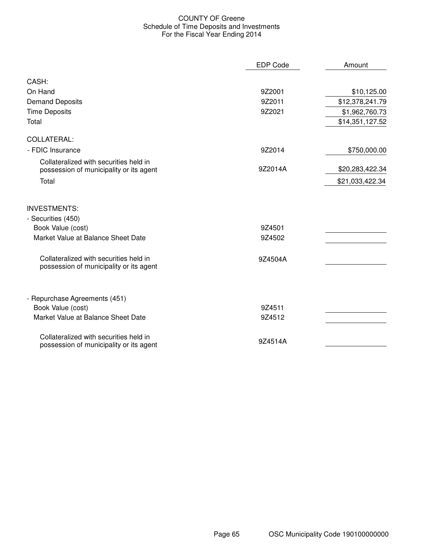# COUNTY OF Greene Schedule of Time Deposits and Investments For the Fiscal Year Ending 2014

|                                                                                   | <b>EDP Code</b> | Amount          |
|-----------------------------------------------------------------------------------|-----------------|-----------------|
| CASH:                                                                             |                 |                 |
| On Hand                                                                           | 9Z2001          | \$10,125.00     |
| <b>Demand Deposits</b>                                                            | 9Z2011          | \$12,378,241.79 |
| <b>Time Deposits</b>                                                              | 9Z2021          | \$1,962,760.73  |
| Total                                                                             |                 | \$14,351,127.52 |
| COLLATERAL:                                                                       |                 |                 |
| - FDIC Insurance                                                                  | 9Z2014          | \$750,000.00    |
| Collateralized with securities held in<br>possession of municipality or its agent | 9Z2014A         | \$20,283,422.34 |
| Total                                                                             |                 | \$21,033,422.34 |
| <b>INVESTMENTS:</b>                                                               |                 |                 |
| - Securities (450)                                                                |                 |                 |
| Book Value (cost)                                                                 | 9Z4501          |                 |
| Market Value at Balance Sheet Date                                                | 9Z4502          |                 |
| Collateralized with securities held in<br>possession of municipality or its agent | 9Z4504A         |                 |
| - Repurchase Agreements (451)                                                     |                 |                 |
| Book Value (cost)                                                                 | 9Z4511          |                 |
| Market Value at Balance Sheet Date                                                | 9Z4512          |                 |
| Collateralized with securities held in<br>possession of municipality or its agent | 9Z4514A         |                 |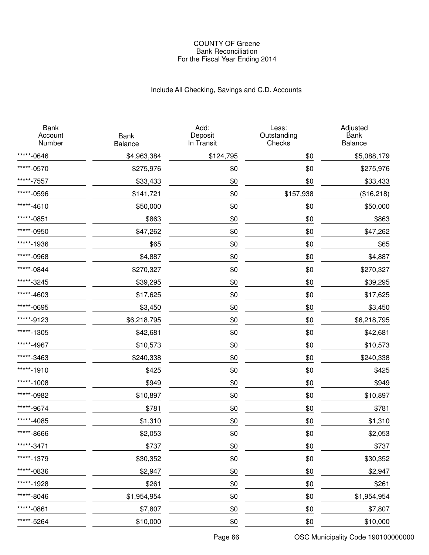# Include All Checking, Savings and C.D. Accounts

| <b>Bank</b><br>Account<br>Number | <b>Bank</b><br>Balance | Add:<br>Deposit<br>In Transit | Less:<br>Outstanding<br>Checks | Adjusted<br>Bank<br>Balance |
|----------------------------------|------------------------|-------------------------------|--------------------------------|-----------------------------|
| *****-0646                       | \$4,963,384            | \$124,795                     | \$0                            | \$5,088,179                 |
| *****-0570                       | \$275,976              | \$0                           | \$0                            | \$275,976                   |
| *****-7557                       | \$33,433               | \$0                           | \$0                            | \$33,433                    |
| *****-0596                       | \$141,721              | \$0                           | \$157,938                      | (\$16,218)                  |
| *****-4610                       | \$50,000               | \$0                           | \$0                            | \$50,000                    |
| *****-0851                       | \$863                  | \$0                           | \$0                            | \$863                       |
| *****-0950                       | \$47,262               | \$0                           | \$0                            | \$47,262                    |
| *****-1936                       | \$65                   | \$0                           | \$0                            | \$65                        |
| *****-0968                       | \$4,887                | \$0                           | \$0                            | \$4,887                     |
| *****-0844                       | \$270,327              | \$0                           | \$0                            | \$270,327                   |
| *****-3245                       | \$39,295               | \$0                           | \$0                            | \$39,295                    |
| *****-4603                       | \$17,625               | \$0                           | \$0                            | \$17,625                    |
| *****-0695                       | \$3,450                | \$0                           | \$0                            | \$3,450                     |
| *****-9123                       | \$6,218,795            | \$0                           | \$0                            | \$6,218,795                 |
| *****-1305                       | \$42,681               | \$0                           | \$0                            | \$42,681                    |
| *****-4967                       | \$10,573               | \$0                           | \$0                            | \$10,573                    |
| *****-3463                       | \$240,338              | \$0                           | \$0                            | \$240,338                   |
| *****-1910                       | \$425                  | \$0                           | \$0                            | \$425                       |
| *****-1008                       | \$949                  | \$0                           | \$0                            | \$949                       |
| *****-0982                       | \$10,897               | \$0                           | \$0                            | \$10,897                    |
| *****-9674                       | \$781                  | \$0                           | \$0                            | \$781                       |
| *****-4085                       | \$1,310                | \$0                           | \$0                            | \$1,310                     |
| *****-8666                       | \$2,053                | \$0                           | \$0                            | \$2,053                     |
| *****-3471                       | \$737                  | \$0                           | \$0                            | \$737                       |
| *****-1379                       | \$30,352               | \$0                           | \$0                            | \$30,352                    |
| *****-0836                       | \$2,947                | \$0                           | \$0                            | \$2,947                     |
| *****-1928                       | \$261                  | \$0                           | \$0                            | \$261                       |
| *****-8046                       | \$1,954,954            | \$0                           | \$0                            | \$1,954,954                 |
| *****-0861                       | \$7,807                | \$0                           | \$0                            | \$7,807                     |
| *****-5264                       | \$10,000               | \$0                           | \$0                            | \$10,000                    |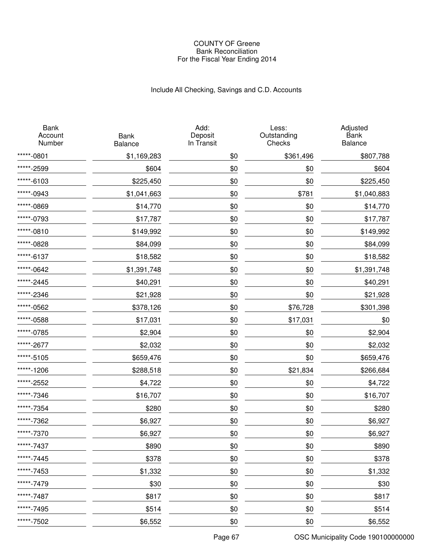# Include All Checking, Savings and C.D. Accounts

| <b>Bank</b><br>Account<br>Number | <b>Bank</b><br>Balance | Add:<br>Deposit<br>In Transit | Less:<br>Outstanding<br>Checks | Adjusted<br>Bank<br>Balance |
|----------------------------------|------------------------|-------------------------------|--------------------------------|-----------------------------|
| *****-0801                       | \$1,169,283            | \$0                           | \$361,496                      | \$807,788                   |
| *****-2599                       | \$604                  | \$0                           | \$0                            | \$604                       |
| *****-6103                       | \$225,450              | \$0                           | \$0                            | \$225,450                   |
| *****-0943                       | \$1,041,663            | \$0                           | \$781                          | \$1,040,883                 |
| *****-0869                       | \$14,770               | \$0                           | \$0                            | \$14,770                    |
| *****-0793                       | \$17,787               | \$0                           | \$0                            | \$17,787                    |
| *****-0810                       | \$149,992              | \$0                           | \$0                            | \$149,992                   |
| *****-0828                       | \$84,099               | \$0                           | \$0                            | \$84,099                    |
| *****-6137                       | \$18,582               | \$0                           | \$0                            | \$18,582                    |
| *****-0642                       | \$1,391,748            | \$0                           | \$0                            | \$1,391,748                 |
| *****-2445                       | \$40,291               | \$0                           | \$0                            | \$40,291                    |
| *****-2346                       | \$21,928               | \$0                           | \$0                            | \$21,928                    |
| *****-0562                       | \$378,126              | \$0                           | \$76,728                       | \$301,398                   |
| *****-0588                       | \$17,031               | \$0                           | \$17,031                       | \$0                         |
| *****-0785                       | \$2,904                | \$0                           | \$0                            | \$2,904                     |
| *****-2677                       | \$2,032                | \$0                           | \$0                            | \$2,032                     |
| *****-5105                       | \$659,476              | \$0                           | \$0                            | \$659,476                   |
| *****-1206                       | \$288,518              | \$0                           | \$21,834                       | \$266,684                   |
| *****-2552                       | \$4,722                | \$0                           | \$0                            | \$4,722                     |
| *****-7346                       | \$16,707               | \$0                           | \$0                            | \$16,707                    |
| *****-7354                       | \$280                  | \$0                           | \$0                            | \$280                       |
| *****-7362                       | \$6,927                | \$0                           | \$0                            | \$6,927                     |
| *****-7370                       | \$6,927                | \$0                           | \$0                            | \$6,927                     |
| *****-7437                       | \$890                  | \$0                           | \$0                            | \$890                       |
| *****-7445                       | \$378                  | \$0                           | \$0                            | \$378                       |
| *****-7453                       | \$1,332                | \$0                           | \$0                            | \$1,332                     |
| *****-7479                       | \$30                   | \$0                           | \$0                            | \$30                        |
| *****-7487                       | \$817                  | \$0                           | \$0                            | \$817                       |
| *****-7495                       | \$514                  | \$0                           | \$0                            | \$514                       |
| *****-7502                       | \$6,552                | \$0                           | \$0                            | \$6,552                     |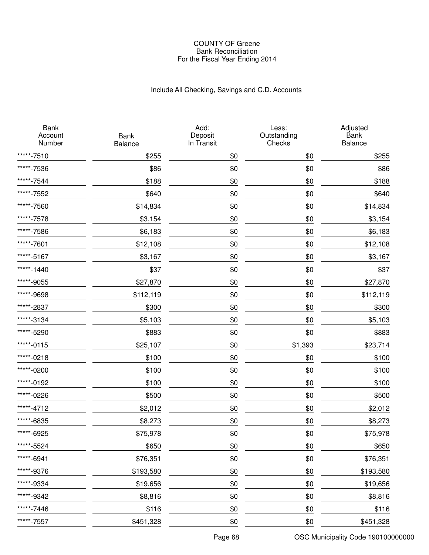# Include All Checking, Savings and C.D. Accounts

| <b>Bank</b><br>Account<br>Number | <b>Bank</b><br>Balance | Add:<br>Deposit<br>In Transit | Less:<br>Outstanding<br>Checks | Adjusted<br>Bank<br>Balance |
|----------------------------------|------------------------|-------------------------------|--------------------------------|-----------------------------|
| *****-7510                       | \$255                  | \$0                           | \$0                            | \$255                       |
| *****-7536                       | \$86                   | \$0                           | \$0                            | \$86                        |
| *****-7544                       | \$188                  | \$0                           | \$0                            | \$188                       |
| *****-7552                       | \$640                  | \$0                           | \$0                            | \$640                       |
| *****-7560                       | \$14,834               | \$0                           | \$0                            | \$14,834                    |
| *****-7578                       | \$3,154                | \$0                           | \$0                            | \$3,154                     |
| *****-7586                       | \$6,183                | \$0                           | \$0                            | \$6,183                     |
| *****-7601                       | \$12,108               | \$0                           | \$0                            | \$12,108                    |
| *****-5167                       | \$3,167                | \$0                           | \$0                            | \$3,167                     |
| *****-1440                       | \$37                   | \$0                           | \$0                            | \$37                        |
| *****-9055                       | \$27,870               | \$0                           | \$0                            | \$27,870                    |
| *****-9698                       | \$112,119              | \$0                           | \$0                            | \$112,119                   |
| *****-2837                       | \$300                  | \$0                           | \$0                            | \$300                       |
| *****-3134                       | \$5,103                | \$0                           | \$0                            | \$5,103                     |
| *****-5290                       | \$883                  | \$0                           | \$0                            | \$883                       |
| *****-0115                       | \$25,107               | \$0                           | \$1,393                        | \$23,714                    |
| *****-0218                       | \$100                  | \$0                           | \$0                            | \$100                       |
| *****-0200                       | \$100                  | \$0                           | \$0                            | \$100                       |
| *****-0192                       | \$100                  | \$0                           | \$0                            | \$100                       |
| *****-0226                       | \$500                  | \$0                           | \$0                            | \$500                       |
| *****-4712                       | \$2,012                | \$0                           | \$0                            | \$2,012                     |
| *****-6835                       | \$8,273                | \$0                           | \$0                            | \$8,273                     |
| *****-6925                       | \$75,978               | \$0                           | \$0                            | \$75,978                    |
| *****-5524                       | \$650                  | \$0                           | \$0                            | \$650                       |
| *****-6941                       | \$76,351               | \$0                           | \$0                            | \$76,351                    |
| *****-9376                       | \$193,580              | \$0                           | \$0                            | \$193,580                   |
| *****-9334                       | \$19,656               | \$0                           | \$0                            | \$19,656                    |
| *****-9342                       | \$8,816                | \$0                           | \$0                            | \$8,816                     |
| *****-7446                       | \$116                  | \$0                           | \$0                            | \$116                       |
| *****-7557                       | \$451,328              | \$0                           | \$0                            | \$451,328                   |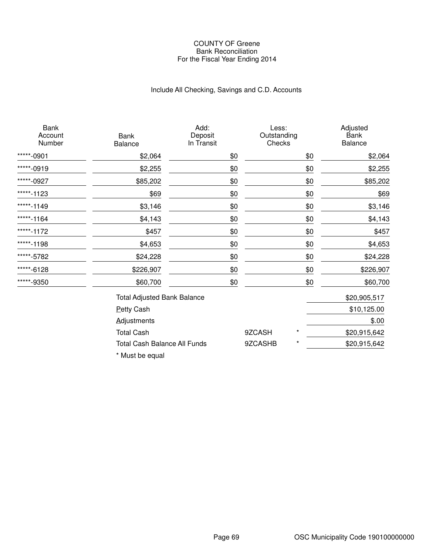# Include All Checking, Savings and C.D. Accounts

| <b>Bank</b><br>Account<br>Number | Bank<br>Balance                     | Add:<br>Deposit<br>In Transit | Less:<br>Outstanding<br>Checks |          | Adjusted<br><b>Bank</b><br>Balance |
|----------------------------------|-------------------------------------|-------------------------------|--------------------------------|----------|------------------------------------|
| *****-0901                       | \$2,064                             | \$0                           |                                | \$0      | \$2,064                            |
| *****-0919                       | \$2,255                             | \$0                           |                                | \$0      | \$2,255                            |
| *****-0927                       | \$85,202                            | \$0                           |                                | \$0      | \$85,202                           |
| *****-1123                       | \$69                                | \$0                           |                                | \$0      | \$69                               |
| *****-1149                       | \$3,146                             | \$0                           |                                | \$0      | \$3,146                            |
| *****-1164                       | \$4,143                             | \$0                           |                                | \$0      | \$4,143                            |
| *****-1172                       | \$457                               | \$0                           |                                | \$0      | \$457                              |
| *****-1198                       | \$4,653                             | \$0                           |                                | \$0      | \$4,653                            |
| *****-5782                       | \$24,228                            | \$0                           |                                | \$0      | \$24,228                           |
| *****-6128                       | \$226,907                           | \$0                           |                                | \$0      | \$226,907                          |
| *****-9350                       | \$60,700                            | \$0                           |                                | \$0      | \$60,700                           |
|                                  | <b>Total Adjusted Bank Balance</b>  |                               |                                |          | \$20,905,517                       |
|                                  | <b>Petty Cash</b>                   |                               |                                |          | \$10,125.00                        |
|                                  | <b>Adjustments</b>                  |                               |                                |          | \$.00                              |
|                                  | <b>Total Cash</b>                   |                               | 9ZCASH                         | $^\star$ | \$20,915,642                       |
|                                  | <b>Total Cash Balance All Funds</b> |                               | 9ZCASHB                        | $^\star$ | \$20,915,642                       |

\* Must be equal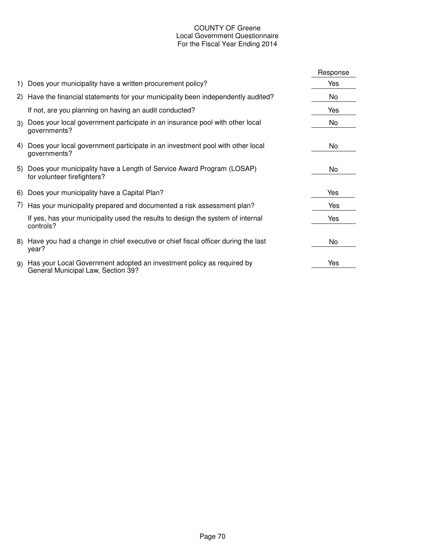# COUNTY OF Greene Local Government Questionnaire For the Fiscal Year Ending 2014

|    |                                                                                                             | Response |
|----|-------------------------------------------------------------------------------------------------------------|----------|
|    | 1) Does your municipality have a written procurement policy?                                                | Yes      |
|    | 2) Have the financial statements for your municipality been independently audited?                          | No       |
|    | If not, are you planning on having an audit conducted?                                                      | Yes      |
| 3) | Does your local government participate in an insurance pool with other local<br>governments?                | No       |
| 4) | Does your local government participate in an investment pool with other local<br>governments?               | No       |
|    | 5) Does your municipality have a Length of Service Award Program (LOSAP)<br>for volunteer firefighters?     | No       |
|    | 6) Does your municipality have a Capital Plan?                                                              | Yes      |
|    | 7) Has your municipality prepared and documented a risk assessment plan?                                    | Yes      |
|    | If yes, has your municipality used the results to design the system of internal<br>controls?                | Yes      |
|    | 8) Have you had a change in chief executive or chief fiscal officer during the last<br>year?                | No       |
| 9) | Has your Local Government adopted an investment policy as required by<br>General Municipal Law, Section 39? | Yes      |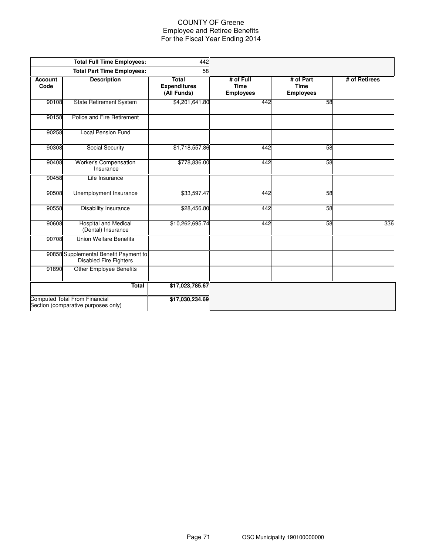## COUNTY OF Greene Employee and Retiree Benefits For the Fiscal Year Ending 2014

|                        | <b>Total Full Time Employees:</b>                                           | 442                                                |                                              |                                              |               |
|------------------------|-----------------------------------------------------------------------------|----------------------------------------------------|----------------------------------------------|----------------------------------------------|---------------|
|                        | <b>Total Part Time Employees:</b>                                           | 58                                                 |                                              |                                              |               |
| <b>Account</b><br>Code | <b>Description</b>                                                          | <b>Total</b><br><b>Expenditures</b><br>(All Funds) | # of Full<br><b>Time</b><br><b>Employees</b> | # of Part<br><b>Time</b><br><b>Employees</b> | # of Retirees |
| 90108                  | <b>State Retirement System</b>                                              | \$4,201,641.80                                     | 442                                          | 58                                           |               |
| 90158                  | Police and Fire Retirement                                                  |                                                    |                                              |                                              |               |
| 90258                  | <b>Local Pension Fund</b>                                                   |                                                    |                                              |                                              |               |
| 90308                  | Social Security                                                             | \$1,718,557.86                                     | 442                                          | 58                                           |               |
| 90408                  | Worker's Compensation<br>Insurance                                          | \$778,836.00                                       | 442                                          | 58                                           |               |
| 90458                  | Life Insurance                                                              |                                                    |                                              |                                              |               |
| 90508                  | <b>Unemployment Insurance</b>                                               | \$33,597.47                                        | 442                                          | 58                                           |               |
| 90558                  | <b>Disability Insurance</b>                                                 | \$28,456.80                                        | 442                                          | 58                                           |               |
| 90608                  | <b>Hospital and Medical</b><br>(Dental) Insurance                           | \$10,262,695.74                                    | 442                                          | 58                                           | 336           |
| 90708                  | <b>Union Welfare Benefits</b>                                               |                                                    |                                              |                                              |               |
|                        | 90858 Supplemental Benefit Payment to<br><b>Disabled Fire Fighters</b>      |                                                    |                                              |                                              |               |
| 91890                  | <b>Other Employee Benefits</b>                                              |                                                    |                                              |                                              |               |
|                        | Total                                                                       | \$17,023,785.67                                    |                                              |                                              |               |
|                        | <b>Computed Total From Financial</b><br>Section (comparative purposes only) | \$17,030,234.69                                    |                                              |                                              |               |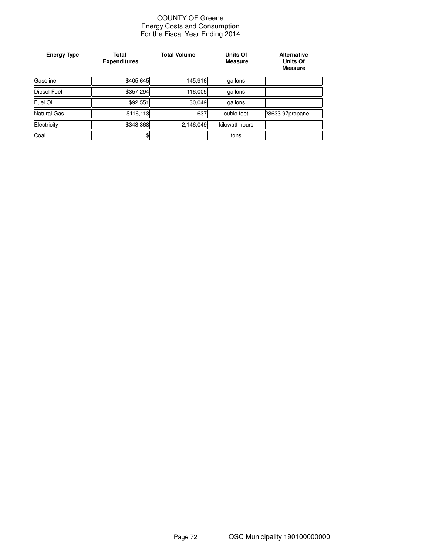### COUNTY OF Greene Energy Costs and Consumption For the Fiscal Year Ending 2014

| <b>Energy Type</b> | <b>Total</b><br><b>Expenditures</b> | <b>Total Volume</b> | <b>Units Of</b><br><b>Measure</b> | <b>Alternative</b><br><b>Units Of</b><br><b>Measure</b> |
|--------------------|-------------------------------------|---------------------|-----------------------------------|---------------------------------------------------------|
| Gasoline           | \$405,645                           | 145,916             | gallons                           |                                                         |
| Diesel Fuel        | \$357,294                           | 116,005             | gallons                           |                                                         |
| Fuel Oil           | \$92,551                            | 30,049              | gallons                           |                                                         |
| Natural Gas        | \$116,113                           | 637                 | cubic feet                        | 28633.97propane                                         |
| Electricity        | \$343,368                           | 2,146,049           | kilowatt-hours                    |                                                         |
| Coal               | \$                                  |                     | tons                              |                                                         |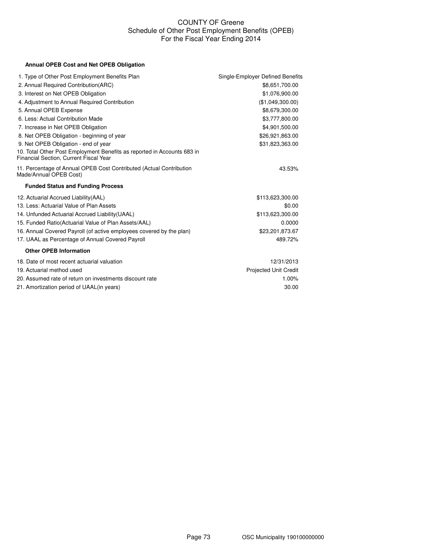## COUNTY OF Greene Schedule of Other Post Employment Benefits (OPEB) For the Fiscal Year Ending 2014

## **Annual OPEB Cost and Net OPEB Obligation**

| 1. Type of Other Post Employment Benefits Plan                                                                    | Single-Employer Defined Benefits |
|-------------------------------------------------------------------------------------------------------------------|----------------------------------|
| 2. Annual Required Contribution(ARC)                                                                              | \$8,651,700.00                   |
| 3. Interest on Net OPEB Obligation                                                                                | \$1,076,900.00                   |
| 4. Adjustment to Annual Required Contribution                                                                     | (\$1,049,300.00)                 |
| 5. Annual OPEB Expense                                                                                            | \$8,679,300.00                   |
| 6. Less: Actual Contribution Made                                                                                 | \$3,777,800.00                   |
| 7. Increase in Net OPEB Obligation                                                                                | \$4,901,500.00                   |
| 8. Net OPEB Obligation - beginning of year                                                                        | \$26,921,863.00                  |
| 9. Net OPEB Obligation - end of year                                                                              | \$31,823,363.00                  |
| 10. Total Other Post Employment Benefits as reported in Accounts 683 in<br>Financial Section, Current Fiscal Year |                                  |
| 11. Percentage of Annual OPEB Cost Contributed (Actual Contribution<br>Made/Annual OPEB Cost)                     | 43.53%                           |
| <b>Funded Status and Funding Process</b>                                                                          |                                  |
| 12. Actuarial Accrued Liability (AAL)                                                                             | \$113,623,300.00                 |
| 13. Less: Actuarial Value of Plan Assets                                                                          | \$0.00                           |
| 14. Unfunded Actuarial Accrued Liability (UAAL)                                                                   | \$113,623,300.00                 |
| 15. Funded Ratio(Actuarial Value of Plan Assets/AAL)                                                              | 0.0000                           |
| 16. Annual Covered Payroll (of active employees covered by the plan)                                              | \$23,201,873.67                  |
| 17. UAAL as Percentage of Annual Covered Payroll                                                                  | 489.72%                          |
| <b>Other OPEB Information</b>                                                                                     |                                  |
| 18. Date of most recent actuarial valuation                                                                       | 12/31/2013                       |
| 19. Actuarial method used                                                                                         | <b>Projected Unit Credit</b>     |
| 20. Assumed rate of return on investments discount rate                                                           | 1.00%                            |
| 21. Amortization period of UAAL(in years)                                                                         | 30.00                            |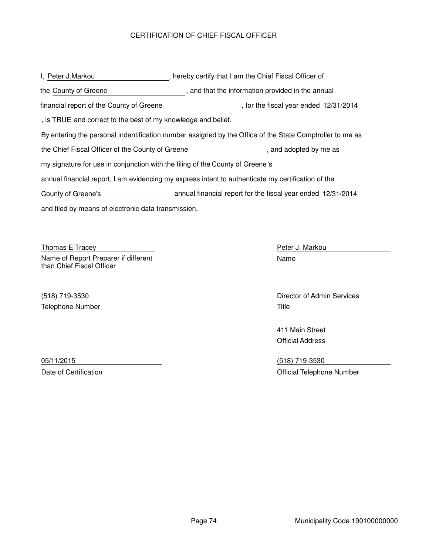## CERTIFICATION OF CHIEF FISCAL OFFICER

and filed by means of electronic data transmission. I, Peter J.Markou **The Chief Fiscal Officer of Allem** 1 am the Chief Fiscal Officer of By entering the personal indentification number assigned by the Office of the State Comptroller to me as the County of Greene **that in the information** provided in the annual the Chief Fiscal Officer of the County of Greene **the Chief Chief Chief Chief Chief Chief** as annual financial report, I am evidencing my express intent to authenticate my certification of the my signature for use in conjunction with the filing of the County of Greene's , is TRUE and correct to the best of my knowledge and belief. financial report of the County of Greene , for the fiscal year ended 12/31/2014 County of Greene's annual financial report for the fiscal year ended 12/31/2014

Thomas E Tracey **Peter J. Markou** Peter J. Markou Name of Report Preparer if different than Chief Fiscal Officer

Telephone Number Title

Name

(518) 719-3530 Director of Admin Services

411 Main Street Official Address

05/11/2015 (518) 719-3530 Date of Certification **Date of Certification** Certification **Official Telephone Number**